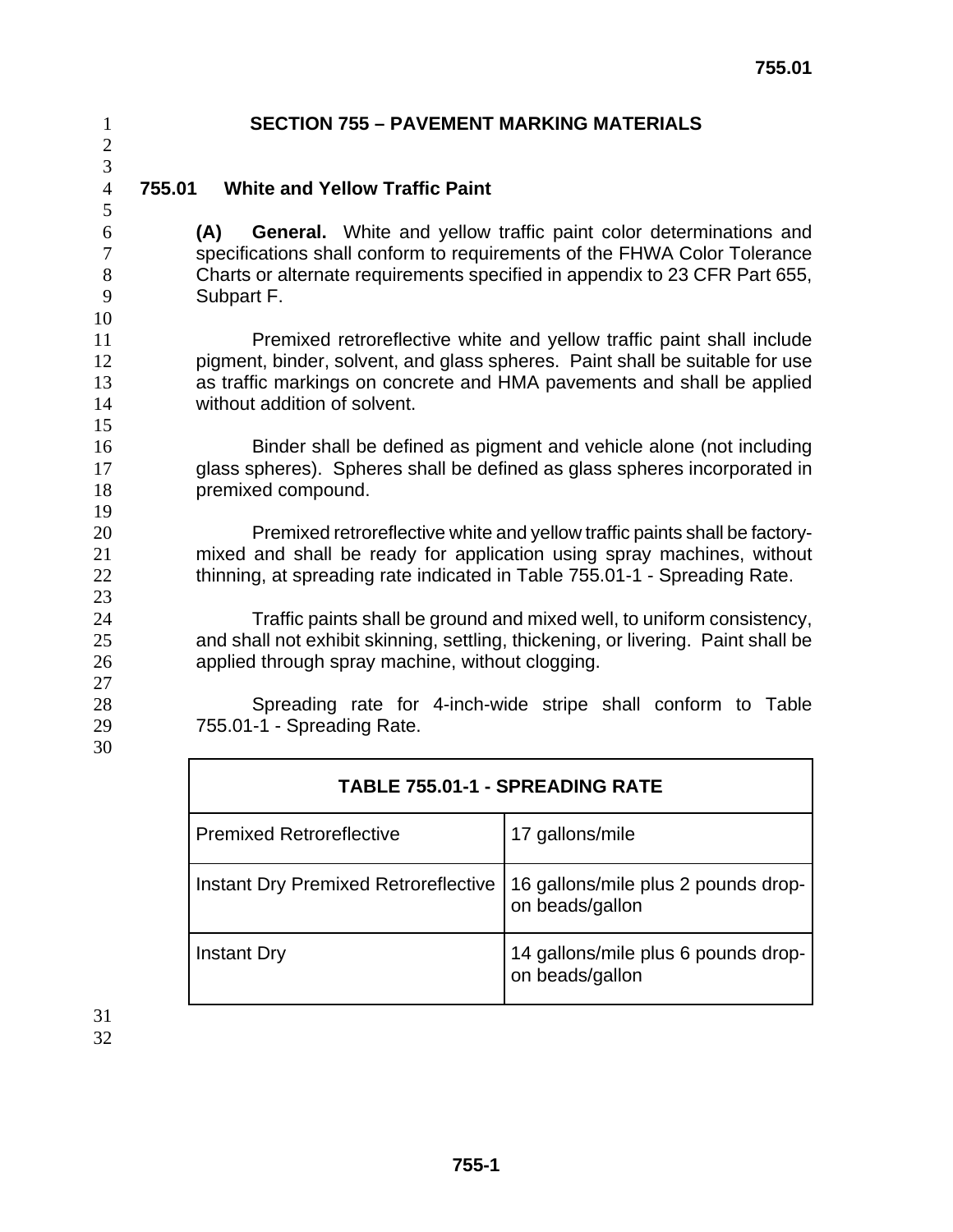#### **755.01 White and Yellow Traffic Paint**

**(A) General.** White and yellow traffic paint color determinations and specifications shall conform to requirements of the FHWA Color Tolerance Charts or alternate requirements specified in appendix to 23 CFR Part 655, Subpart F.

Premixed retroreflective white and yellow traffic paint shall include pigment, binder, solvent, and glass spheres. Paint shall be suitable for use as traffic markings on concrete and HMA pavements and shall be applied without addition of solvent.

Binder shall be defined as pigment and vehicle alone (not including glass spheres). Spheres shall be defined as glass spheres incorporated in premixed compound.

Premixed retroreflective white and yellow traffic paints shall be factory-mixed and shall be ready for application using spray machines, without 22 thinning, at spreading rate indicated in Table 755.01-1 - Spreading Rate.

Traffic paints shall be ground and mixed well, to uniform consistency, and shall not exhibit skinning, settling, thickening, or livering. Paint shall be applied through spray machine, without clogging.

Spreading rate for 4-inch-wide stripe shall conform to Table 755.01-1 - Spreading Rate.

| <b>TABLE 755.01-1 - SPREADING RATE</b> |                                                        |
|----------------------------------------|--------------------------------------------------------|
| <b>Premixed Retroreflective</b>        | 17 gallons/mile                                        |
| Instant Dry Premixed Retroreflective   | 16 gallons/mile plus 2 pounds drop-<br>on beads/gallon |
| <b>Instant Dry</b>                     | 14 gallons/mile plus 6 pounds drop-<br>on beads/gallon |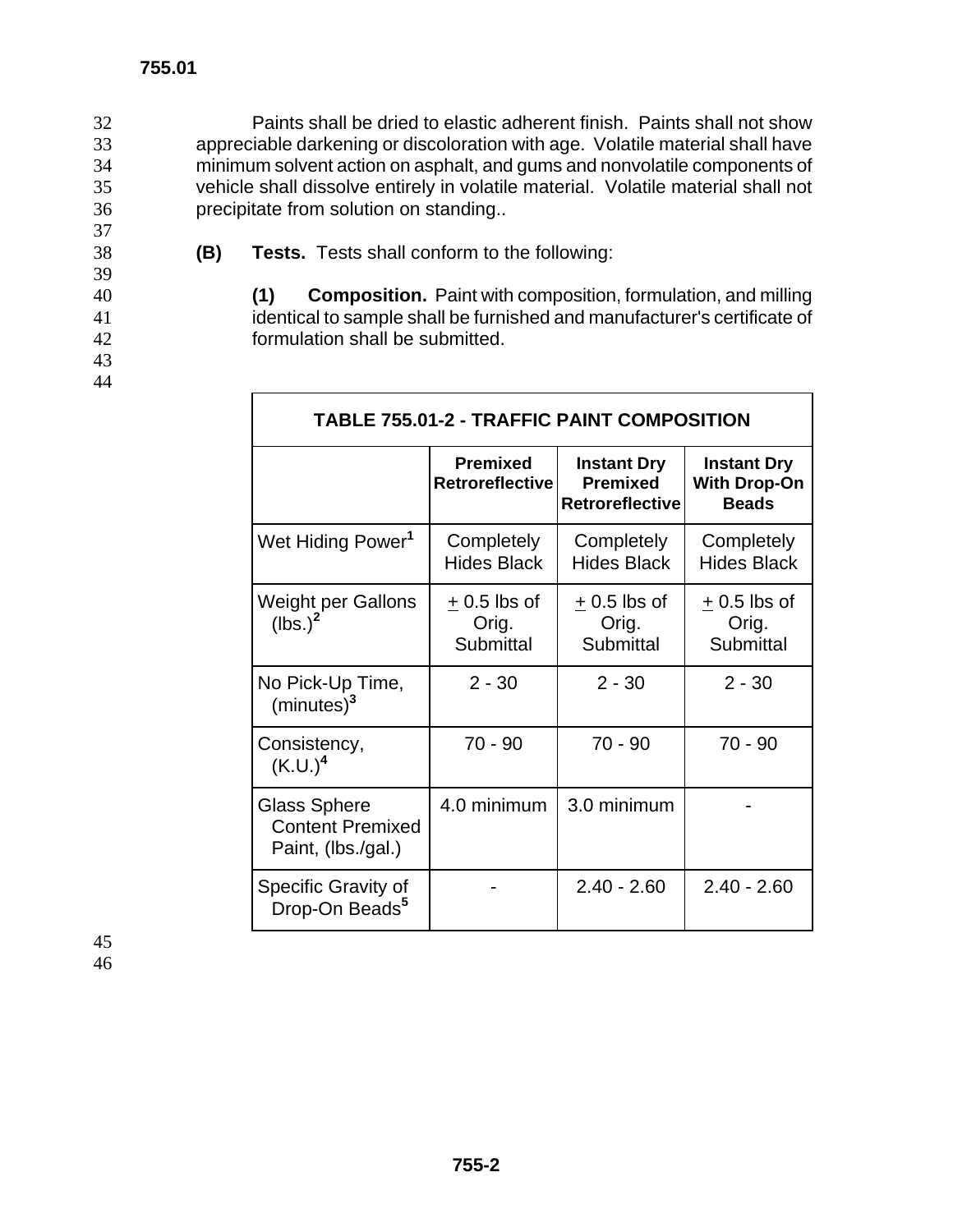Г

Paints shall be dried to elastic adherent finish. Paints shall not show appreciable darkening or discoloration with age. Volatile material shall have minimum solvent action on asphalt, and gums and nonvolatile components of vehicle shall dissolve entirely in volatile material. Volatile material shall not precipitate from solution on standing..

38 **(B) Tests.** Tests shall conform to the following:

40 **(1) Composition.** Paint with composition, formulation, and milling 41 identical to sample shall be furnished and manufacturer's certificate of 42 formulation shall be submitted.

┑

| <b>TABLE 755.01-2 - TRAFFIC PAINT COMPOSITION</b>                    |                                            |                                                                 |                                                           |  |
|----------------------------------------------------------------------|--------------------------------------------|-----------------------------------------------------------------|-----------------------------------------------------------|--|
|                                                                      | <b>Premixed</b><br><b>Retroreflective</b>  | <b>Instant Dry</b><br><b>Premixed</b><br><b>Retroreflective</b> | <b>Instant Dry</b><br><b>With Drop-On</b><br><b>Beads</b> |  |
| Wet Hiding Power <sup>1</sup>                                        | Completely<br><b>Hides Black</b>           | Completely<br><b>Hides Black</b>                                | Completely<br><b>Hides Black</b>                          |  |
| <b>Weight per Gallons</b><br>$(lbs.)^2$                              | $+0.5$ lbs of<br>Orig.<br><b>Submittal</b> | $+0.5$ lbs of<br>Orig.<br><b>Submittal</b>                      | $+0.5$ lbs of<br>Orig.<br><b>Submittal</b>                |  |
| No Pick-Up Time,<br>(minutes) <sup>3</sup>                           | $2 - 30$                                   | $2 - 30$                                                        | $2 - 30$                                                  |  |
| Consistency,<br>$(K.U.)^4$                                           | $70 - 90$                                  | $70 - 90$                                                       | $70 - 90$                                                 |  |
| <b>Glass Sphere</b><br><b>Content Premixed</b><br>Paint, (lbs./gal.) | 4.0 minimum                                | 3.0 minimum                                                     |                                                           |  |
| Specific Gravity of<br>Drop-On Beads <sup>5</sup>                    |                                            | $2.40 - 2.60$                                                   | $2.40 - 2.60$                                             |  |

37

39

43 44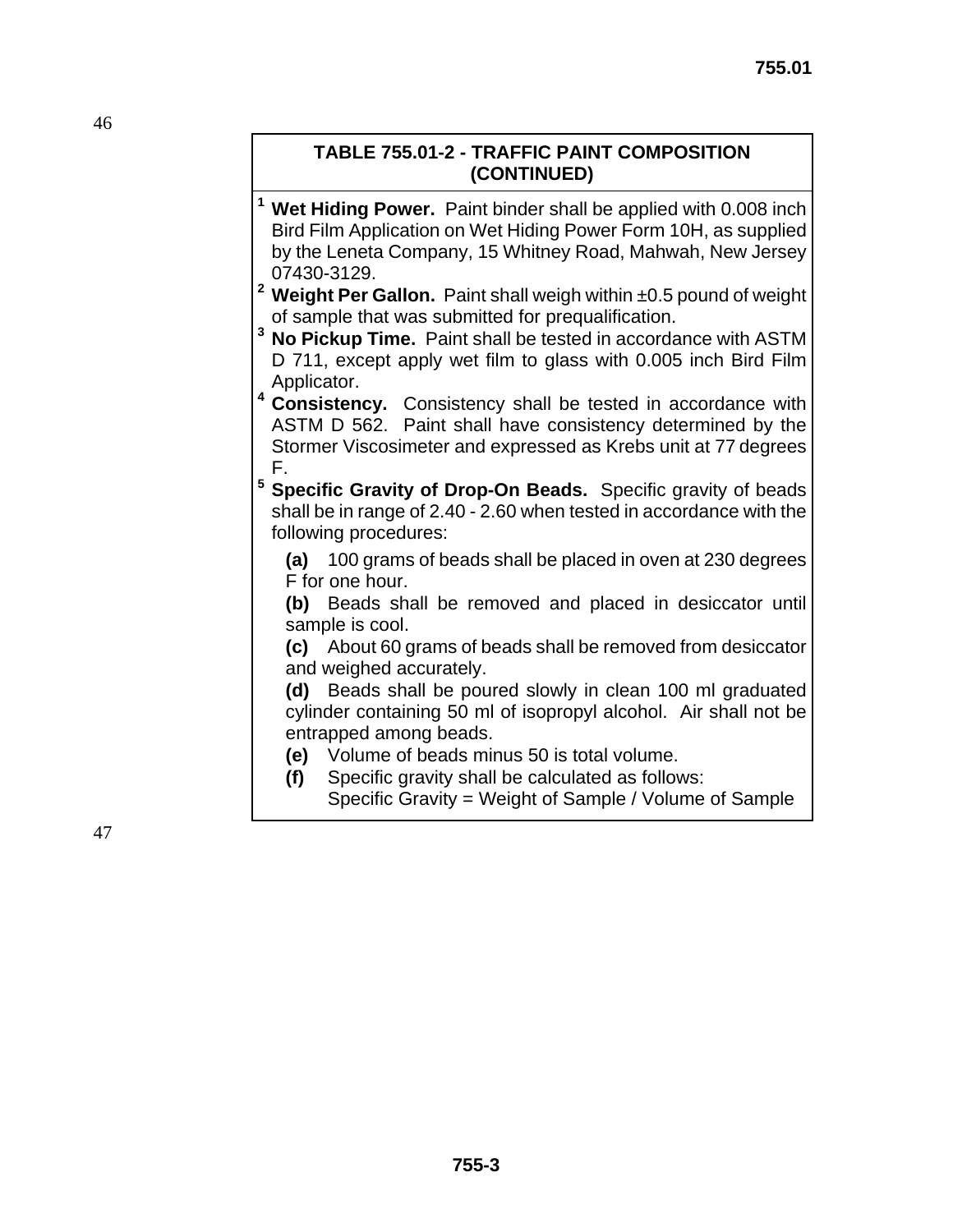#### **TABLE 755.01-2 - TRAFFIC PAINT COMPOSITION (CONTINUED)**

- **1 Wet Hiding Power.** Paint binder shall be applied with 0.008 inch Bird Film Application on Wet Hiding Power Form 10H, as supplied by the Leneta Company, 15 Whitney Road, Mahwah, New Jersey 07430-3129.
- **<sup>2</sup> Weight Per Gallon.** Paint shall weigh within ±0.5 pound of weight of sample that was submitted for prequalification.
- **3 No Pickup Time.** Paint shall be tested in accordance with ASTM D 711, except apply wet film to glass with 0.005 inch Bird Film Applicator.
- **4 Consistency.** Consistency shall be tested in accordance with ASTM D 562. Paint shall have consistency determined by the Stormer Viscosimeter and expressed as Krebs unit at 77 degrees F.
- **5 Specific Gravity of Drop-On Beads.** Specific gravity of beads shall be in range of 2.40 - 2.60 when tested in accordance with the following procedures:
	- **(a)** 100 grams of beads shall be placed in oven at 230 degrees F for one hour.
	- **(b)** Beads shall be removed and placed in desiccator until sample is cool.
	- **(c)** About 60 grams of beads shall be removed from desiccator and weighed accurately.
	- **(d)** Beads shall be poured slowly in clean 100 ml graduated cylinder containing 50 ml of isopropyl alcohol. Air shall not be entrapped among beads.
	- **(e)** Volume of beads minus 50 is total volume.
	- **(f)** Specific gravity shall be calculated as follows:
		- Specific Gravity = Weight of Sample / Volume of Sample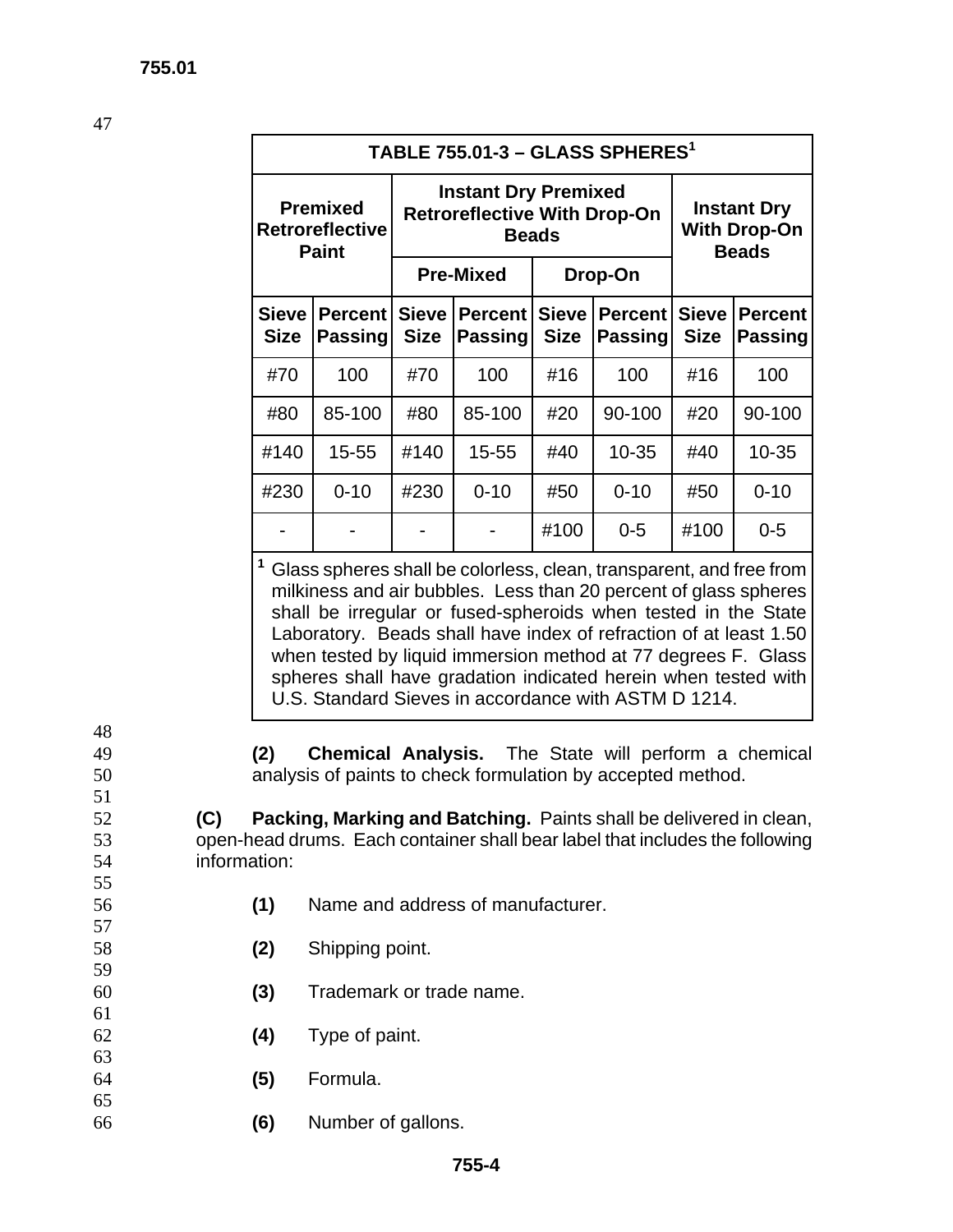48

51

55

57

59

61

63

65

| TABLE $755.01-3 - GLASS SPHERES1$                         |                                  |                                                                                    |                                  |                             |                                                           |                             |                                  |
|-----------------------------------------------------------|----------------------------------|------------------------------------------------------------------------------------|----------------------------------|-----------------------------|-----------------------------------------------------------|-----------------------------|----------------------------------|
| <b>Premixed</b><br><b>Retroreflective</b><br><b>Paint</b> |                                  | <b>Instant Dry Premixed</b><br><b>Retroreflective With Drop-On</b><br><b>Beads</b> |                                  |                             | <b>Instant Dry</b><br><b>With Drop-On</b><br><b>Beads</b> |                             |                                  |
|                                                           |                                  | <b>Pre-Mixed</b><br>Drop-On                                                        |                                  |                             |                                                           |                             |                                  |
| <b>Sieve</b><br><b>Size</b>                               | <b>Percent</b><br><b>Passing</b> | <b>Sieve</b><br><b>Size</b>                                                        | <b>Percent</b><br><b>Passing</b> | <b>Sieve</b><br><b>Size</b> | <b>Percent</b><br>Passing                                 | <b>Sieve</b><br><b>Size</b> | <b>Percent</b><br><b>Passing</b> |
| #70                                                       | 100                              | #70                                                                                | 100                              | #16                         | 100                                                       | #16                         | 100                              |
| #80                                                       | 85-100                           | #80                                                                                | 85-100                           | #20                         | 90-100                                                    | #20                         | 90-100                           |
| #140                                                      | 15-55                            | #140                                                                               | 15-55                            | #40                         | $10 - 35$                                                 | #40                         | $10 - 35$                        |
| #230                                                      | $0 - 10$                         | #230                                                                               | $0 - 10$                         | #50                         | $0 - 10$                                                  | #50                         | $0 - 10$                         |
|                                                           |                                  |                                                                                    |                                  | #100                        | $0 - 5$                                                   | #100                        | $0 - 5$                          |

**<sup>1</sup>**Glass spheres shall be colorless, clean, transparent, and free from milkiness and air bubbles. Less than 20 percent of glass spheres shall be irregular or fused-spheroids when tested in the State Laboratory. Beads shall have index of refraction of at least 1.50 when tested by liquid immersion method at 77 degrees F. Glass spheres shall have gradation indicated herein when tested with U.S. Standard Sieves in accordance with ASTM D 1214.

49 **(2) Chemical Analysis.** The State will perform a chemical 50 analysis of paints to check formulation by accepted method.

52 **(C) Packing, Marking and Batching.** Paints shall be delivered in clean, 53 open-head drums. Each container shall bear label that includes the following 54 information:

- 56 **(1)** Name and address of manufacturer.
- 58 **(2)** Shipping point.
- 60 **(3)** Trademark or trade name.
- 62 **(4)** Type of paint.
- 64 **(5)** Formula.
- 66 **(6)** Number of gallons.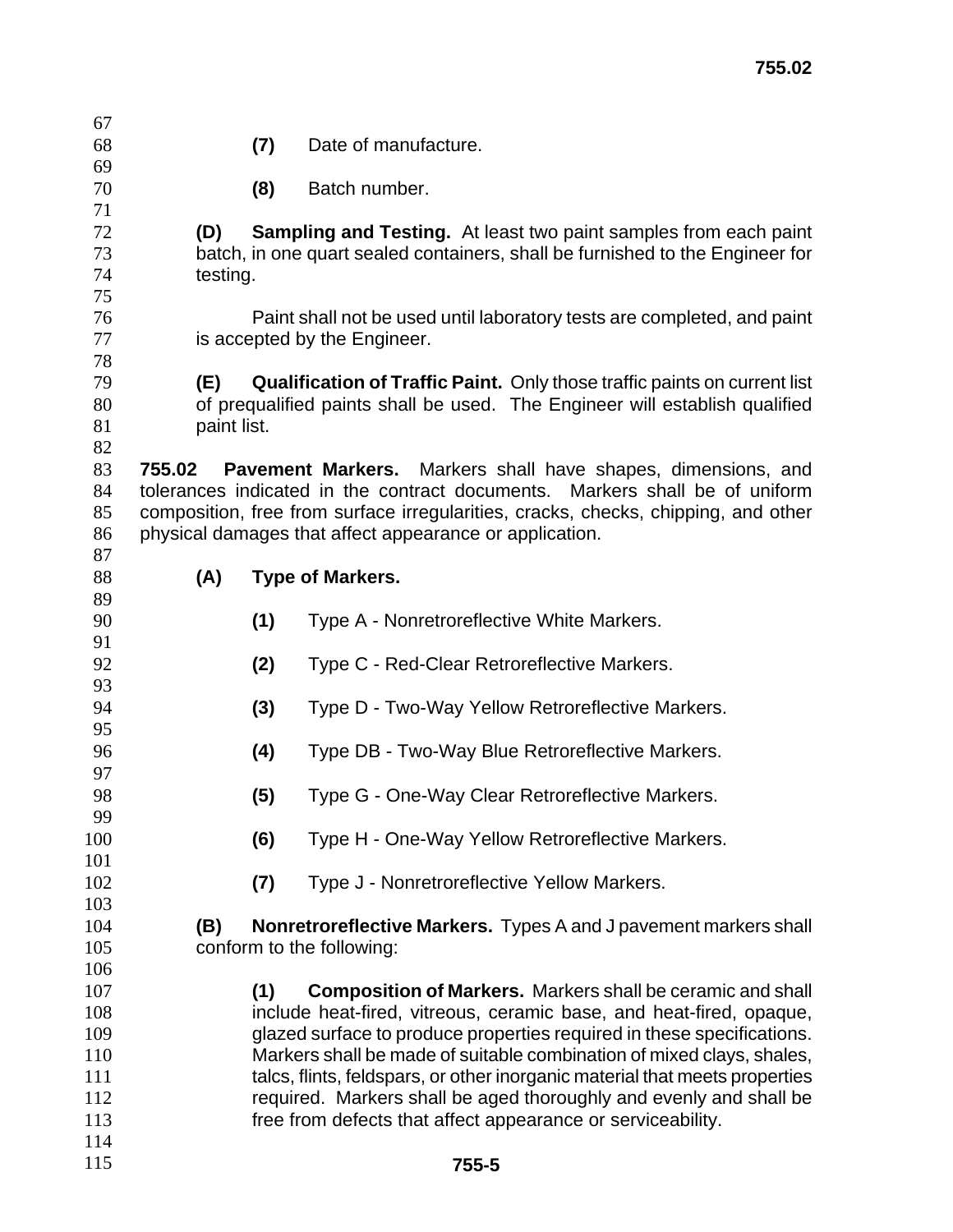**(7)** Date of manufacture.

**(8)** Batch number.

**(D) Sampling and Testing.** At least two paint samples from each paint batch, in one quart sealed containers, shall be furnished to the Engineer for testing.

Paint shall not be used until laboratory tests are completed, and paint 77 is accepted by the Engineer.

**(E) Qualification of Traffic Paint.** Only those traffic paints on current list of prequalified paints shall be used. The Engineer will establish qualified 81 paint list.

**755.02 Pavement Markers.** Markers shall have shapes, dimensions, and tolerances indicated in the contract documents. Markers shall be of uniform composition, free from surface irregularities, cracks, checks, chipping, and other physical damages that affect appearance or application.

**(A) Type of Markers.** 

| 89  |     |                                                                             |
|-----|-----|-----------------------------------------------------------------------------|
| 90  | (1) | Type A - Nonretroreflective White Markers.                                  |
| 91  |     |                                                                             |
| 92  | (2) | Type C - Red-Clear Retroreflective Markers.                                 |
| 93  |     |                                                                             |
| 94  | (3) | Type D - Two-Way Yellow Retroreflective Markers.                            |
| 95  |     |                                                                             |
| 96  | (4) | Type DB - Two-Way Blue Retroreflective Markers.                             |
| 97  |     |                                                                             |
| 98  | (5) | Type G - One-Way Clear Retroreflective Markers.                             |
| 99  |     |                                                                             |
| 100 | (6) | Type H - One-Way Yellow Retroreflective Markers.                            |
| 101 |     |                                                                             |
| 102 | (7) | Type J - Nonretroreflective Yellow Markers.                                 |
| 103 |     |                                                                             |
| 104 | (B) | Nonretroreflective Markers. Types A and J pavement markers shall            |
| 105 |     | conform to the following:                                                   |
| 106 |     |                                                                             |
| 107 | (1) | <b>Composition of Markers.</b> Markers shall be ceramic and shall           |
| 108 |     | include heat-fired, vitreous, ceramic base, and heat-fired, opaque,         |
| 109 |     | glazed surface to produce properties required in these specifications.      |
| 110 |     | Markers shall be made of suitable combination of mixed clays, shales,       |
| 111 |     | talcs, flints, feldspars, or other inorganic material that meets properties |
| 112 |     | required. Markers shall be aged thoroughly and evenly and shall be          |
| 113 |     | free from defects that affect appearance or serviceability.                 |
| 114 |     |                                                                             |
| 115 |     | 755-5                                                                       |
|     |     |                                                                             |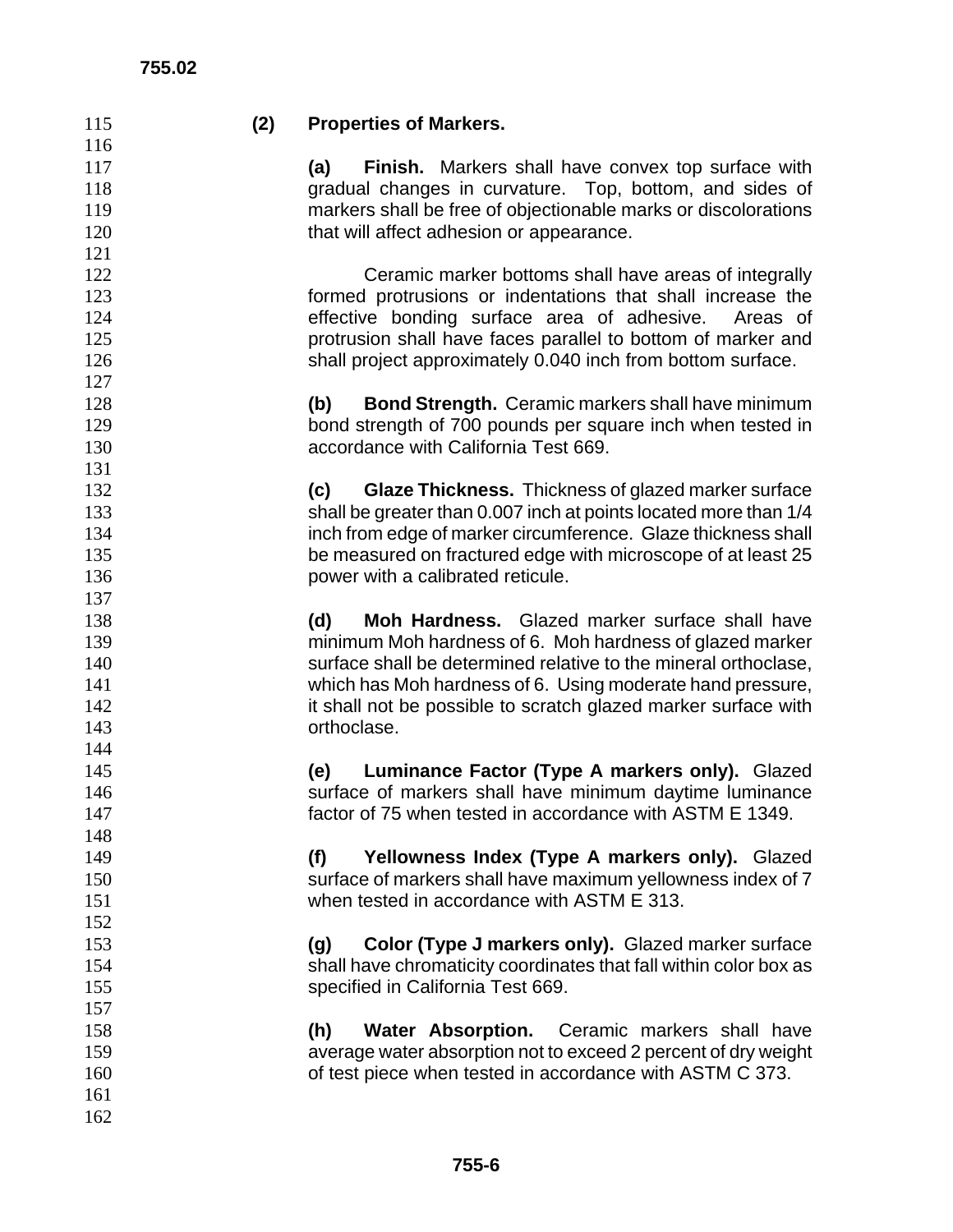| 115 | (2) | <b>Properties of Markers.</b>                                     |
|-----|-----|-------------------------------------------------------------------|
| 116 |     |                                                                   |
| 117 |     | <b>Finish.</b> Markers shall have convex top surface with<br>(a)  |
| 118 |     | gradual changes in curvature. Top, bottom, and sides of           |
| 119 |     | markers shall be free of objectionable marks or discolorations    |
| 120 |     | that will affect adhesion or appearance.                          |
| 121 |     |                                                                   |
| 122 |     | Ceramic marker bottoms shall have areas of integrally             |
| 123 |     | formed protrusions or indentations that shall increase the        |
| 124 |     | effective bonding surface area of adhesive.<br>Areas of           |
| 125 |     | protrusion shall have faces parallel to bottom of marker and      |
| 126 |     | shall project approximately 0.040 inch from bottom surface.       |
| 127 |     |                                                                   |
| 128 |     | <b>Bond Strength.</b> Ceramic markers shall have minimum<br>(b)   |
| 129 |     | bond strength of 700 pounds per square inch when tested in        |
| 130 |     | accordance with California Test 669.                              |
| 131 |     |                                                                   |
| 132 |     | Glaze Thickness. Thickness of glazed marker surface<br>(c)        |
| 133 |     | shall be greater than 0.007 inch at points located more than 1/4  |
| 134 |     | inch from edge of marker circumference. Glaze thickness shall     |
| 135 |     | be measured on fractured edge with microscope of at least 25      |
| 136 |     | power with a calibrated reticule.                                 |
| 137 |     |                                                                   |
| 138 |     | Moh Hardness. Glazed marker surface shall have<br>(d)             |
| 139 |     | minimum Moh hardness of 6. Moh hardness of glazed marker          |
| 140 |     | surface shall be determined relative to the mineral orthoclase,   |
| 141 |     | which has Moh hardness of 6. Using moderate hand pressure,        |
| 142 |     | it shall not be possible to scratch glazed marker surface with    |
| 143 |     | orthoclase.                                                       |
| 144 |     |                                                                   |
| 145 |     | Luminance Factor (Type A markers only). Glazed<br>(e)             |
| 146 |     | surface of markers shall have minimum daytime luminance           |
| 147 |     | factor of 75 when tested in accordance with ASTM E 1349.          |
| 148 |     |                                                                   |
| 149 |     | Yellowness Index (Type A markers only). Glazed<br>(f)             |
| 150 |     | surface of markers shall have maximum yellowness index of 7       |
| 151 |     | when tested in accordance with ASTM E 313.                        |
| 152 |     |                                                                   |
| 153 |     | Color (Type J markers only). Glazed marker surface<br>(g)         |
| 154 |     | shall have chromaticity coordinates that fall within color box as |
| 155 |     | specified in California Test 669.                                 |
| 157 |     |                                                                   |
| 158 |     | (h)<br><b>Water Absorption.</b> Ceramic markers shall have        |
| 159 |     | average water absorption not to exceed 2 percent of dry weight    |
| 160 |     | of test piece when tested in accordance with ASTM C 373.          |
| 161 |     |                                                                   |
| 162 |     |                                                                   |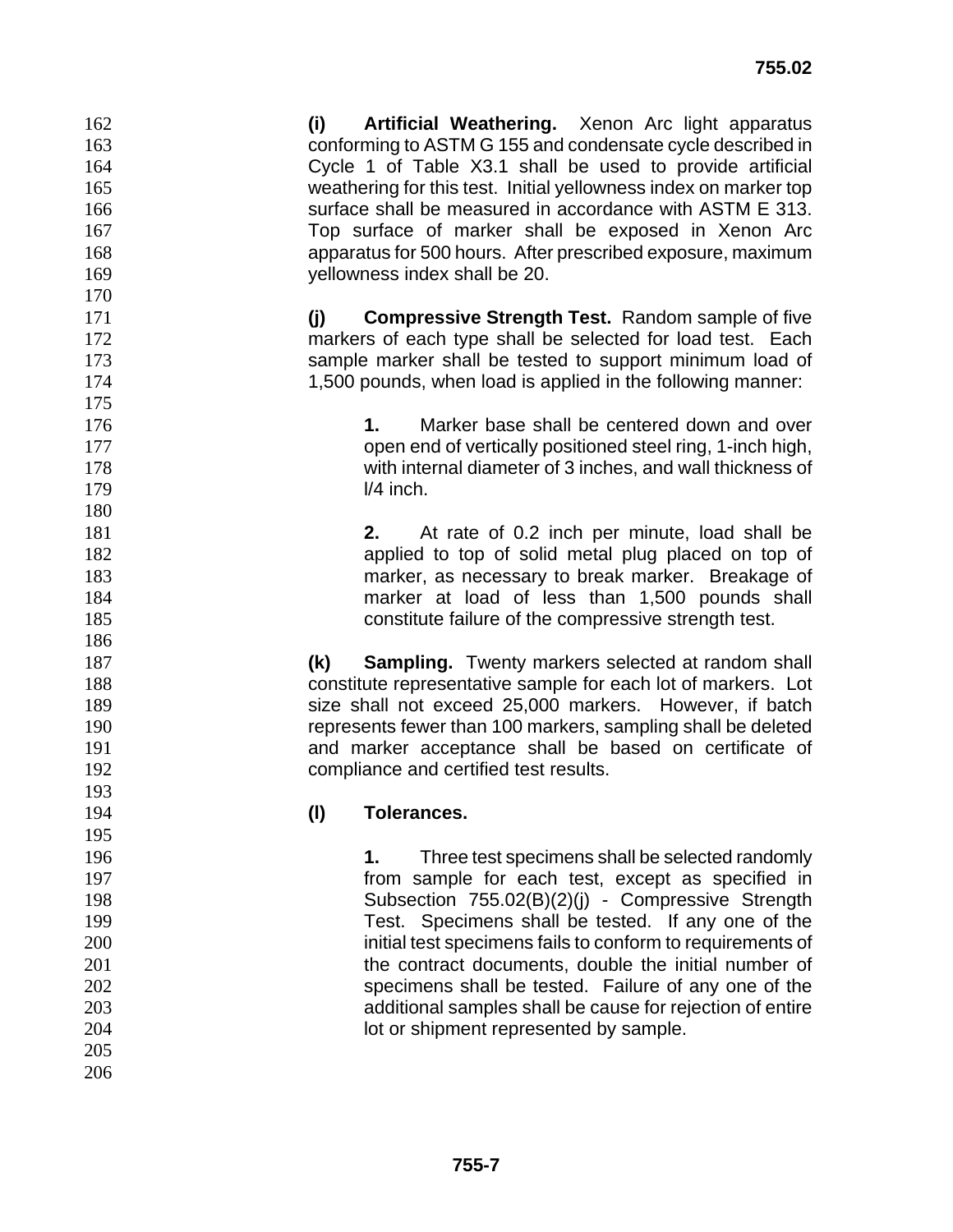**(i) Artificial Weathering.** Xenon Arc light apparatus conforming to ASTM G 155 and condensate cycle described in Cycle 1 of Table X3.1 shall be used to provide artificial weathering for this test. Initial yellowness index on marker top surface shall be measured in accordance with ASTM E 313. Top surface of marker shall be exposed in Xenon Arc apparatus for 500 hours. After prescribed exposure, maximum yellowness index shall be 20.

**(j) Compressive Strength Test.** Random sample of five markers of each type shall be selected for load test. Each sample marker shall be tested to support minimum load of 1,500 pounds, when load is applied in the following manner:

**1.** Marker base shall be centered down and over open end of vertically positioned steel ring, 1-inch high, with internal diameter of 3 inches, and wall thickness of **l/4 inch.** 

**2.** At rate of 0.2 inch per minute, load shall be applied to top of solid metal plug placed on top of marker, as necessary to break marker. Breakage of marker at load of less than 1,500 pounds shall constitute failure of the compressive strength test.

**(k) Sampling.** Twenty markers selected at random shall constitute representative sample for each lot of markers. Lot size shall not exceed 25,000 markers. However, if batch represents fewer than 100 markers, sampling shall be deleted and marker acceptance shall be based on certificate of compliance and certified test results.

# **(l) Tolerances.**

 

**1.** Three test specimens shall be selected randomly **from sample for each test, except as specified in** Subsection 755.02(B)(2)(j) - Compressive Strength Test. Specimens shall be tested. If any one of the initial test specimens fails to conform to requirements of 201 the contract documents, double the initial number of specimens shall be tested. Failure of any one of the additional samples shall be cause for rejection of entire **lot or shipment represented by sample.**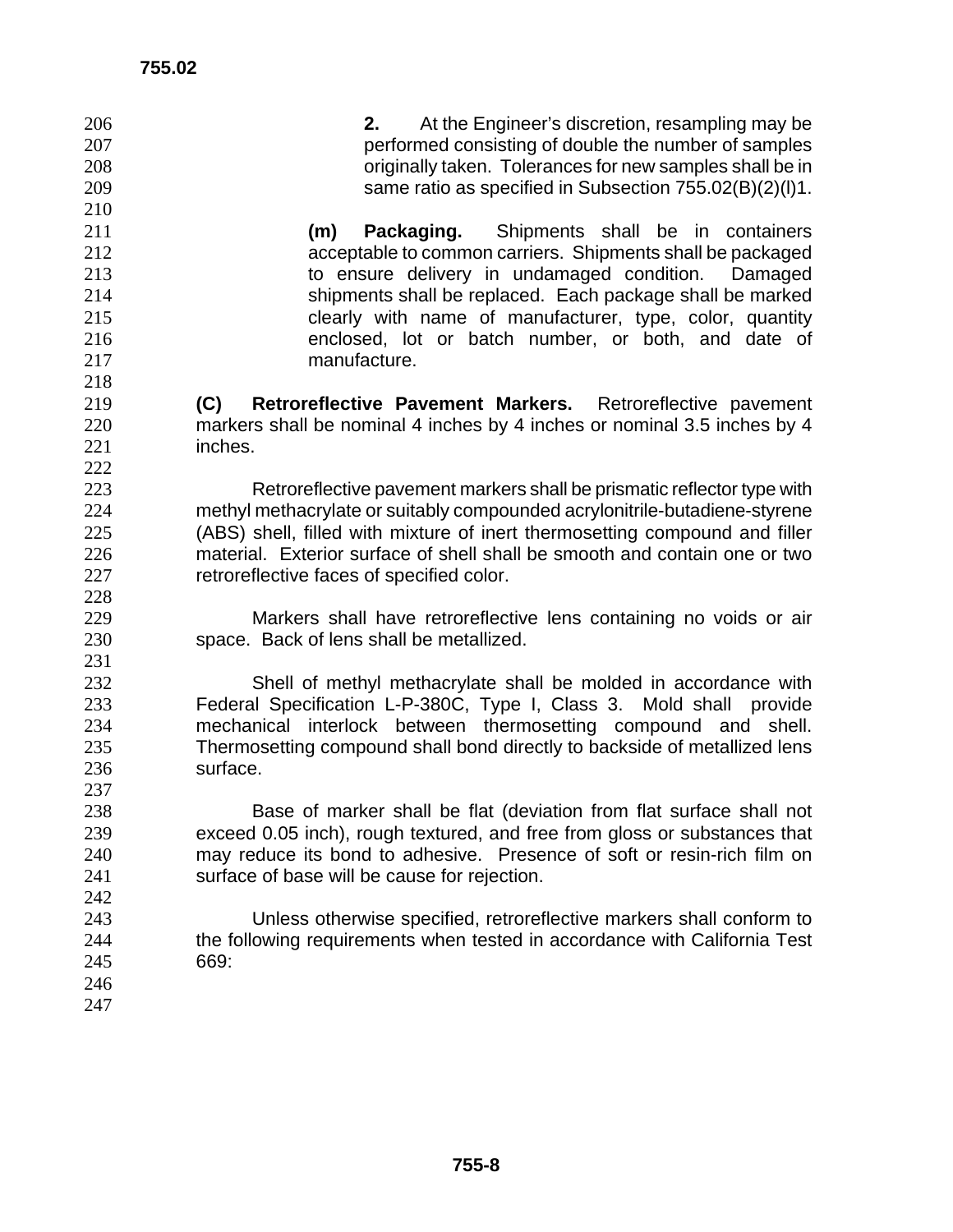| 206<br>207<br>208<br>209<br>210 | At the Engineer's discretion, resampling may be<br>2.<br>performed consisting of double the number of samples<br>originally taken. Tolerances for new samples shall be in<br>same ratio as specified in Subsection 755.02(B)(2)(I)1. |
|---------------------------------|--------------------------------------------------------------------------------------------------------------------------------------------------------------------------------------------------------------------------------------|
| 211                             | Shipments shall be in containers<br>(m)<br>Packaging.                                                                                                                                                                                |
| 212                             | acceptable to common carriers. Shipments shall be packaged                                                                                                                                                                           |
| 213                             | to ensure delivery in undamaged condition.<br>Damaged                                                                                                                                                                                |
| 214                             | shipments shall be replaced. Each package shall be marked                                                                                                                                                                            |
| 215                             | clearly with name of manufacturer, type, color, quantity                                                                                                                                                                             |
| 216                             | enclosed, lot or batch number, or both, and date of                                                                                                                                                                                  |
| 217                             | manufacture.                                                                                                                                                                                                                         |
| 218                             |                                                                                                                                                                                                                                      |
| 219                             | Retroreflective Pavement Markers.<br>(C)<br>Retroreflective pavement                                                                                                                                                                 |
| 220<br>221                      | markers shall be nominal 4 inches by 4 inches or nominal 3.5 inches by 4<br>inches.                                                                                                                                                  |
| 222                             |                                                                                                                                                                                                                                      |
| 223                             | Retroreflective pavement markers shall be prismatic reflector type with                                                                                                                                                              |
| 224                             | methyl methacrylate or suitably compounded acrylonitrile-butadiene-styrene                                                                                                                                                           |
| 225                             | (ABS) shell, filled with mixture of inert thermosetting compound and filler                                                                                                                                                          |
| 226                             | material. Exterior surface of shell shall be smooth and contain one or two                                                                                                                                                           |
| 227                             | retroreflective faces of specified color.                                                                                                                                                                                            |
| 228                             |                                                                                                                                                                                                                                      |
| 229                             | Markers shall have retroreflective lens containing no voids or air                                                                                                                                                                   |
| 230                             | space. Back of lens shall be metallized.                                                                                                                                                                                             |
| 231                             |                                                                                                                                                                                                                                      |
| 232                             | Shell of methyl methacrylate shall be molded in accordance with                                                                                                                                                                      |
| 233                             | Federal Specification L-P-380C, Type I, Class 3. Mold shall<br>provide                                                                                                                                                               |
| 234                             | mechanical interlock between thermosetting compound and<br>shell.                                                                                                                                                                    |
| 235                             | Thermosetting compound shall bond directly to backside of metallized lens                                                                                                                                                            |
| 236                             | surface.                                                                                                                                                                                                                             |
| 237                             |                                                                                                                                                                                                                                      |
| 238                             | Base of marker shall be flat (deviation from flat surface shall not                                                                                                                                                                  |
| 239                             | exceed 0.05 inch), rough textured, and free from gloss or substances that                                                                                                                                                            |
| 240                             | may reduce its bond to adhesive. Presence of soft or resin-rich film on                                                                                                                                                              |
| 241                             | surface of base will be cause for rejection.                                                                                                                                                                                         |
| 242                             |                                                                                                                                                                                                                                      |
| 243                             | Unless otherwise specified, retroreflective markers shall conform to                                                                                                                                                                 |
| 244                             | the following requirements when tested in accordance with California Test                                                                                                                                                            |
| 245                             | 669:                                                                                                                                                                                                                                 |
| 246                             |                                                                                                                                                                                                                                      |
| 247                             |                                                                                                                                                                                                                                      |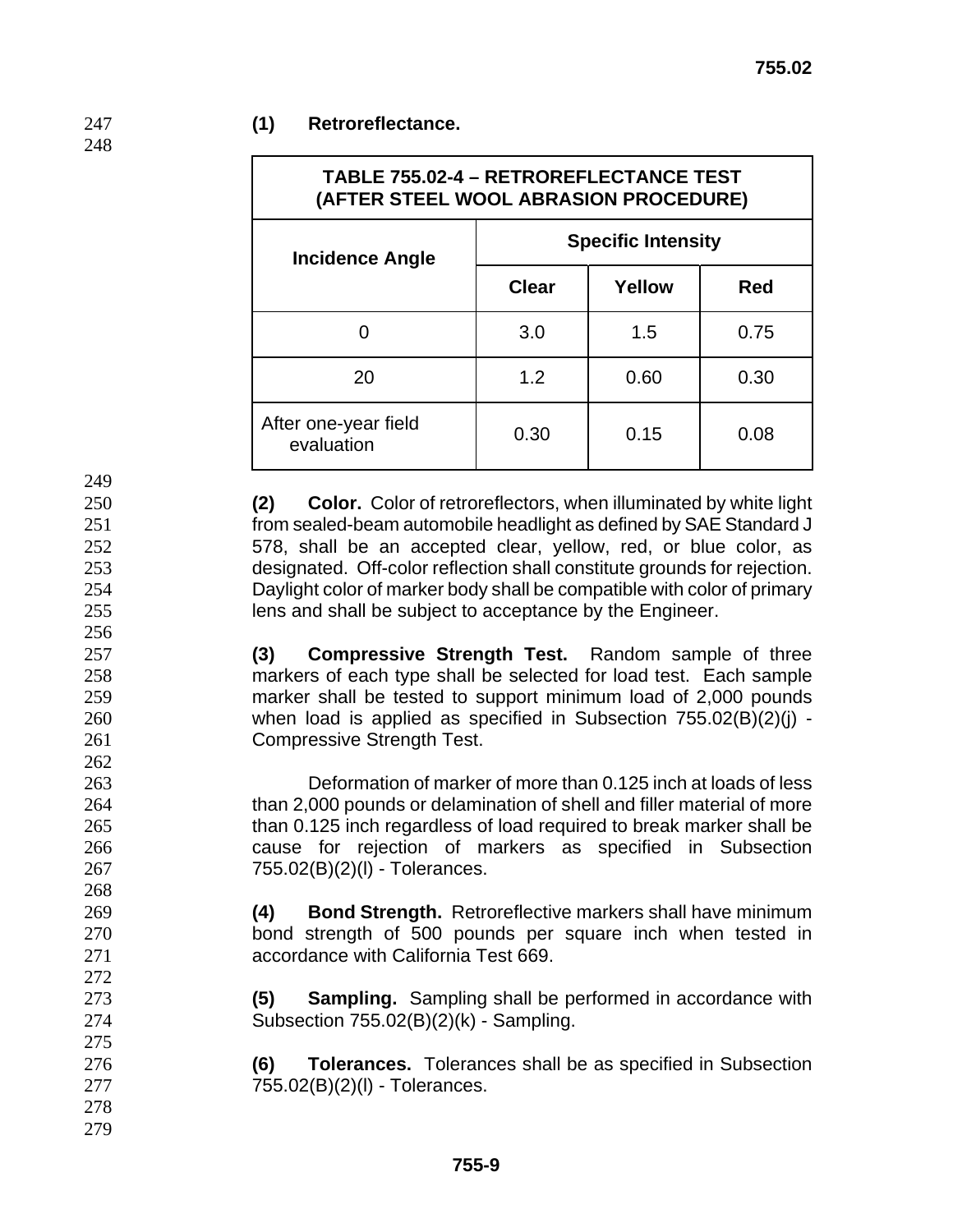### **(1) Retroreflectance.**

| TABLE 755.02-4 - RETROREFLECTANCE TEST<br>(AFTER STEEL WOOL ABRASION PROCEDURE) |                           |        |            |  |
|---------------------------------------------------------------------------------|---------------------------|--------|------------|--|
| <b>Incidence Angle</b>                                                          | <b>Specific Intensity</b> |        |            |  |
|                                                                                 | <b>Clear</b>              | Yellow | <b>Red</b> |  |
|                                                                                 | 3.0                       | 1.5    | 0.75       |  |
| 20                                                                              | 1.2                       | 0.60   | 0.30       |  |
| After one-year field<br>evaluation                                              | 0.30                      | 0.15   | 0.08       |  |

**(2) Color.** Color of retroreflectors, when illuminated by white light from sealed-beam automobile headlight as defined by SAE Standard J 578, shall be an accepted clear, yellow, red, or blue color, as designated. Off-color reflection shall constitute grounds for rejection. Daylight color of marker body shall be compatible with color of primary lens and shall be subject to acceptance by the Engineer.

**(3) Compressive Strength Test.** Random sample of three markers of each type shall be selected for load test. Each sample marker shall be tested to support minimum load of 2,000 pounds when load is applied as specified in Subsection 755.02(B)(2)(j) - Compressive Strength Test.

Deformation of marker of more than 0.125 inch at loads of less than 2,000 pounds or delamination of shell and filler material of more than 0.125 inch regardless of load required to break marker shall be cause for rejection of markers as specified in Subsection 755.02(B)(2)(l) - Tolerances.

**(4) Bond Strength.** Retroreflective markers shall have minimum bond strength of 500 pounds per square inch when tested in accordance with California Test 669.

**(5) Sampling.** Sampling shall be performed in accordance with Subsection 755.02(B)(2)(k) - Sampling.

**(6) Tolerances.** Tolerances shall be as specified in Subsection 755.02(B)(2)(l) - Tolerances.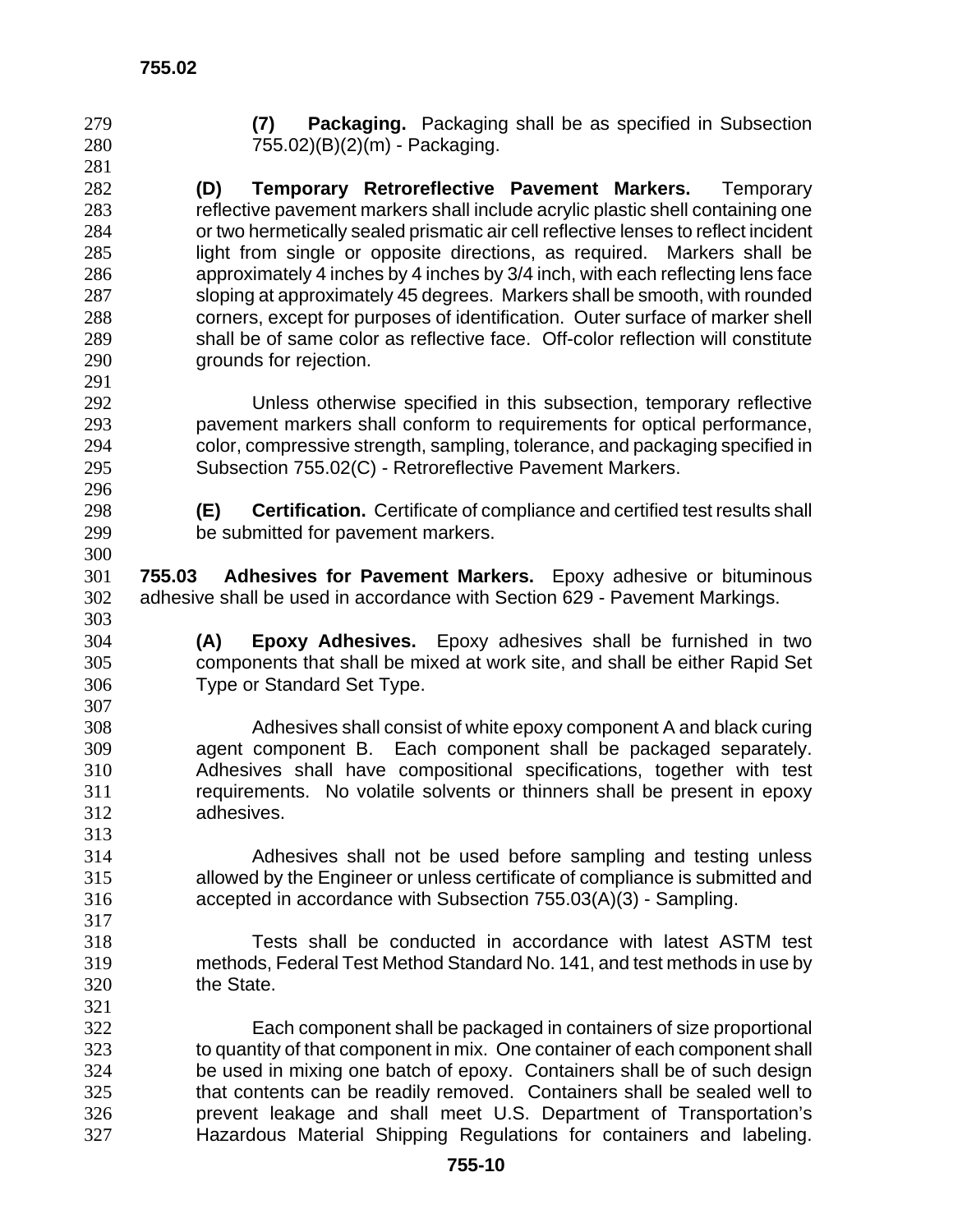|     | Packaging. Packaging shall be as specified in Subsection<br>(7)                     |
|-----|-------------------------------------------------------------------------------------|
| 280 | 755.02)(B)(2)(m) - Packaging.                                                       |
| 281 |                                                                                     |
| 282 | (D)<br><b>Temporary Retroreflective Pavement Markers.</b> Temporary                 |
| 283 | reflective pavement markers shall include acrylic plastic shell containing one      |
| 284 | or two hermetically sealed prismatic air cell reflective lenses to reflect incident |
| 285 | light from single or opposite directions, as required. Markers shall be             |
| 286 | approximately 4 inches by 4 inches by 3/4 inch, with each reflecting lens face      |
| 287 | sloping at approximately 45 degrees. Markers shall be smooth, with rounded          |
| 288 | corners, except for purposes of identification. Outer surface of marker shell       |
| 289 | shall be of same color as reflective face. Off-color reflection will constitute     |
| 290 | grounds for rejection.                                                              |
| 291 |                                                                                     |
| 292 | Unless otherwise specified in this subsection, temporary reflective                 |
| 293 | pavement markers shall conform to requirements for optical performance,             |
| 294 | color, compressive strength, sampling, tolerance, and packaging specified in        |
| 295 | Subsection 755.02(C) - Retroreflective Pavement Markers.                            |
| 296 |                                                                                     |
| 298 | (E)<br>Certification. Certificate of compliance and certified test results shall    |
| 299 | be submitted for pavement markers.                                                  |
| 300 |                                                                                     |
| 301 |                                                                                     |
|     | 755.03 Adhesives for Pavement Markers. Epoxy adhesive or bituminous                 |
| 302 | adhesive shall be used in accordance with Section 629 - Pavement Markings.          |
| 303 |                                                                                     |
| 304 | Epoxy Adhesives. Epoxy adhesives shall be furnished in two<br>(A)                   |
| 305 | components that shall be mixed at work site, and shall be either Rapid Set          |
| 306 |                                                                                     |
|     | Type or Standard Set Type.                                                          |
| 307 |                                                                                     |
| 308 | Adhesives shall consist of white epoxy component A and black curing                 |
| 309 | agent component B. Each component shall be packaged separately.                     |
| 310 | Adhesives shall have compositional specifications, together with test               |
| 311 | requirements. No volatile solvents or thinners shall be present in epoxy            |
| 312 | adhesives.                                                                          |
| 313 |                                                                                     |
| 314 | Adhesives shall not be used before sampling and testing unless                      |
| 315 | allowed by the Engineer or unless certificate of compliance is submitted and        |
| 316 | accepted in accordance with Subsection 755.03(A)(3) - Sampling.                     |
| 317 |                                                                                     |
| 318 | Tests shall be conducted in accordance with latest ASTM test                        |
| 319 | methods, Federal Test Method Standard No. 141, and test methods in use by           |
| 320 | the State.                                                                          |
| 321 |                                                                                     |
| 322 | Each component shall be packaged in containers of size proportional                 |
| 323 | to quantity of that component in mix. One container of each component shall         |
| 324 | be used in mixing one batch of epoxy. Containers shall be of such design            |
| 325 | that contents can be readily removed. Containers shall be sealed well to            |

Hazardous Material Shipping Regulations for containers and labeling.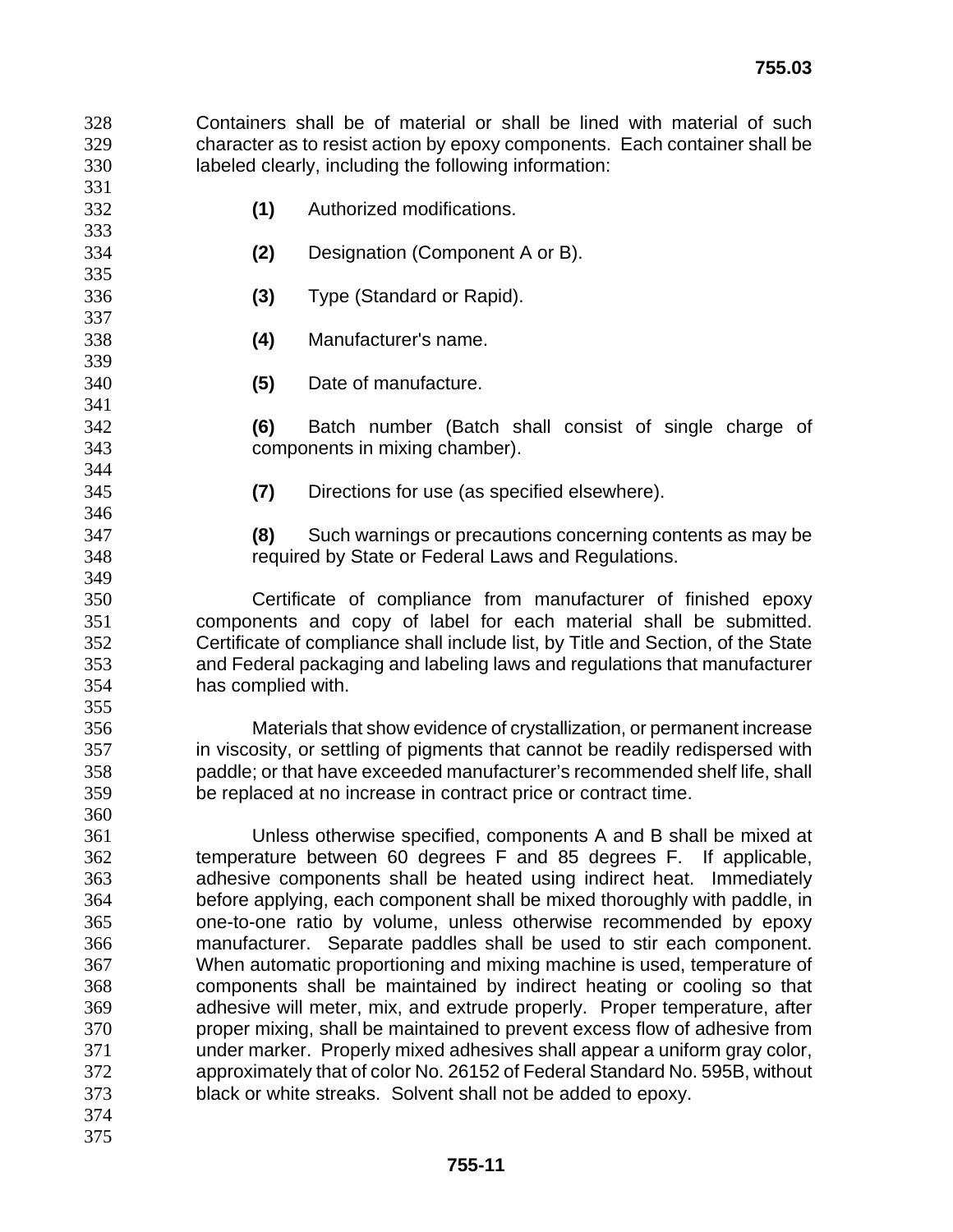Containers shall be of material or shall be lined with material of such character as to resist action by epoxy components. Each container shall be labeled clearly, including the following information:

- **(1)** Authorized modifications.
- **(2)** Designation (Component A or B).
- **(3)** Type (Standard or Rapid).
- **(4)** Manufacturer's name.
- **(5)** Date of manufacture.

**(6)** Batch number (Batch shall consist of single charge of components in mixing chamber).

**(7)** Directions for use (as specified elsewhere).

**(8)** Such warnings or precautions concerning contents as may be required by State or Federal Laws and Regulations.

Certificate of compliance from manufacturer of finished epoxy components and copy of label for each material shall be submitted. Certificate of compliance shall include list, by Title and Section, of the State and Federal packaging and labeling laws and regulations that manufacturer has complied with.

Materials that show evidence of crystallization, or permanent increase in viscosity, or settling of pigments that cannot be readily redispersed with paddle; or that have exceeded manufacturer's recommended shelf life, shall be replaced at no increase in contract price or contract time.

Unless otherwise specified, components A and B shall be mixed at temperature between 60 degrees F and 85 degrees F. If applicable, adhesive components shall be heated using indirect heat. Immediately before applying, each component shall be mixed thoroughly with paddle, in one-to-one ratio by volume, unless otherwise recommended by epoxy manufacturer. Separate paddles shall be used to stir each component. When automatic proportioning and mixing machine is used, temperature of components shall be maintained by indirect heating or cooling so that adhesive will meter, mix, and extrude properly. Proper temperature, after proper mixing, shall be maintained to prevent excess flow of adhesive from under marker. Properly mixed adhesives shall appear a uniform gray color, approximately that of color No. 26152 of Federal Standard No. 595B, without black or white streaks. Solvent shall not be added to epoxy.

- 
-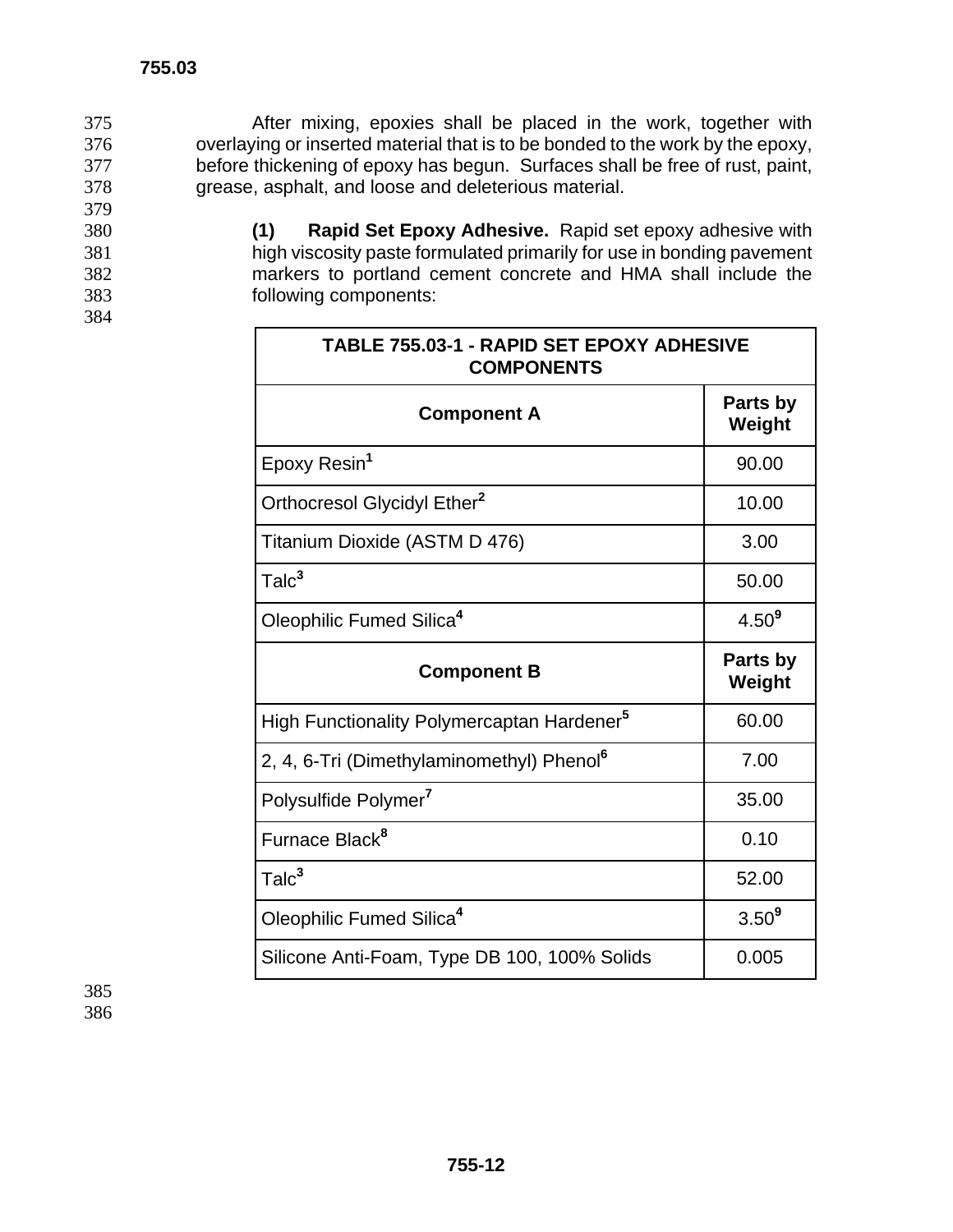After mixing, epoxies shall be placed in the work, together with overlaying or inserted material that is to be bonded to the work by the epoxy, before thickening of epoxy has begun. Surfaces shall be free of rust, paint, grease, asphalt, and loose and deleterious material. 379

**(1) Rapid Set Epoxy Adhesive.** Rapid set epoxy adhesive with high viscosity paste formulated primarily for use in bonding pavement markers to portland cement concrete and HMA shall include the following components:

| <b>TABLE 755.03-1 - RAPID SET EPOXY ADHESIVE</b><br><b>COMPONENTS</b> |                    |  |
|-----------------------------------------------------------------------|--------------------|--|
| <b>Component A</b>                                                    | Parts by<br>Weight |  |
| Epoxy Resin <sup>1</sup>                                              | 90.00              |  |
| Orthocresol Glycidyl Ether <sup>2</sup>                               | 10.00              |  |
| Titanium Dioxide (ASTM D 476)                                         | 3.00               |  |
| Talc <sup>3</sup>                                                     | 50.00              |  |
| Oleophilic Fumed Silica <sup>4</sup>                                  | $4.50^{9}$         |  |
| <b>Component B</b>                                                    | Parts by<br>Weight |  |
| High Functionality Polymercaptan Hardener <sup>5</sup>                | 60.00              |  |
| 2, 4, 6-Tri (Dimethylaminomethyl) Phenol <sup>6</sup>                 | 7.00               |  |
| Polysulfide Polymer <sup>7</sup>                                      | 35.00              |  |
| Furnace Black <sup>8</sup>                                            | 0.10               |  |
| Talc <sup>3</sup>                                                     | 52.00              |  |
| Oleophilic Fumed Silica <sup>4</sup>                                  | $3.50^{9}$         |  |
| Silicone Anti-Foam, Type DB 100, 100% Solids                          | 0.005              |  |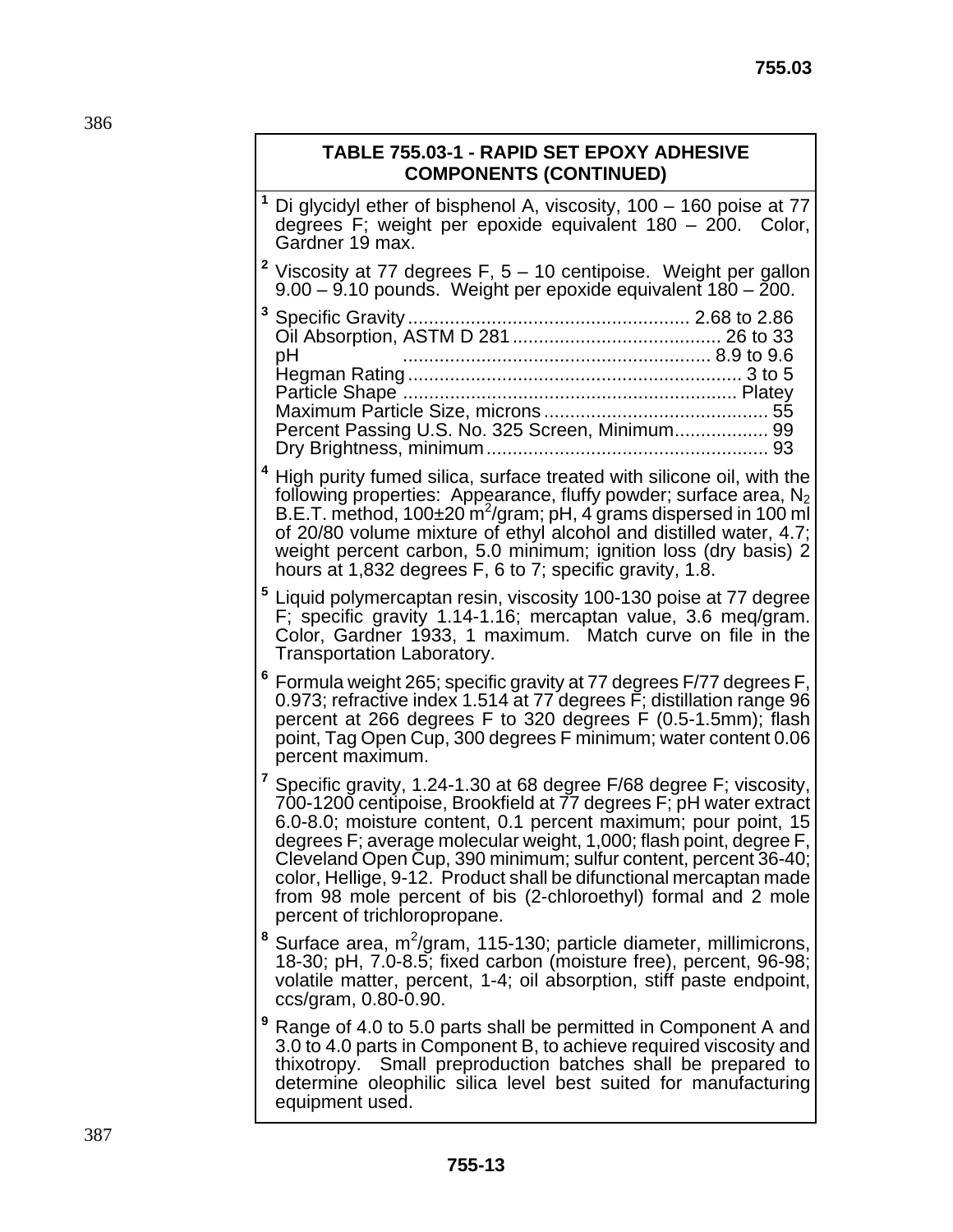# **TABLE 755.03-1 - RAPID SET EPOXY ADHESIVE COMPONENTS (CONTINUED)**

| Di glycidyl ether of bisphenol A, viscosity, 100 - 160 poise at 77<br>degrees F; weight per epoxide equivalent 180 – 200. Color,<br>Gardner 19 max.                                                                                                                                                                                                                                                                                                                                                                            |
|--------------------------------------------------------------------------------------------------------------------------------------------------------------------------------------------------------------------------------------------------------------------------------------------------------------------------------------------------------------------------------------------------------------------------------------------------------------------------------------------------------------------------------|
| <sup>2</sup> Viscosity at 77 degrees F, $5 - 10$ centipoise. Weight per gallon<br>9.00 - 9.10 pounds. Weight per epoxide equivalent 180 - 200.                                                                                                                                                                                                                                                                                                                                                                                 |
| рH<br>Percent Passing U.S. No. 325 Screen, Minimum 99                                                                                                                                                                                                                                                                                                                                                                                                                                                                          |
| <sup>4</sup> High purity fumed silica, surface treated with silicone oil, with the<br>following properties: Appearance, fluffy powder; surface area, $N_2$<br>B.E.T. method, 100±20 m <sup>2</sup> /gram; pH, 4 grams dispersed in 100 ml<br>of 20/80 volume mixture of ethyl alcohol and distilled water, 4.7;<br>weight percent carbon, 5.0 minimum; ignition loss (dry basis) 2<br>hours at 1,832 degrees F, 6 to 7; specific gravity, 1.8.                                                                                 |
| 5<br>Liquid polymercaptan resin, viscosity 100-130 poise at 77 degree<br>F; specific gravity 1.14-1.16; mercaptan value, 3.6 meq/gram.<br>Color, Gardner 1933, 1 maximum. Match curve on file in the<br>Transportation Laboratory.                                                                                                                                                                                                                                                                                             |
| <sup>6</sup> Formula weight 265; specific gravity at 77 degrees F/77 degrees F,<br>0.973; refractive index 1.514 at 77 degrees F; distillation range 96<br>percent at 266 degrees F to 320 degrees F (0.5-1.5mm); flash<br>point, Tag Open Cup, 300 degrees F minimum; water content 0.06<br>percent maximum.                                                                                                                                                                                                                  |
| 7<br>Specific gravity, 1.24-1.30 at 68 degree F/68 degree F; viscosity,<br>700-1200 centipoise, Brookfield at 77 degrees F; pH water extract<br>6.0-8.0; moisture content, 0.1 percent maximum; pour point, 15<br>degrees F; average molecular weight, 1,000; flash point, degree F,<br>Cleveland Open Cup, 390 minimum; sulfur content, percent 36-40;<br>color, Hellige, 9-12. Product shall be difunctional mercaptan made<br>from 98 mole percent of bis (2-chloroethyl) formal and 2 mole<br>percent of trichloropropane. |
| 8<br>Surface area, m <sup>2</sup> /gram, 115-130; particle diameter, millimicrons,<br>18-30; pH, 7.0-8.5; fixed carbon (moisture free), percent, 96-98;<br>volatile matter, percent, 1-4; oil absorption, stiff paste endpoint,<br>ccs/gram, 0.80-0.90.                                                                                                                                                                                                                                                                        |
| 9<br>Range of 4.0 to 5.0 parts shall be permitted in Component A and<br>3.0 to 4.0 parts in Component B, to achieve required viscosity and<br>thixotropy. Small preproduction batches shall be prepared to<br>determine oleophilic silica level best suited for manufacturing<br>equipment used.                                                                                                                                                                                                                               |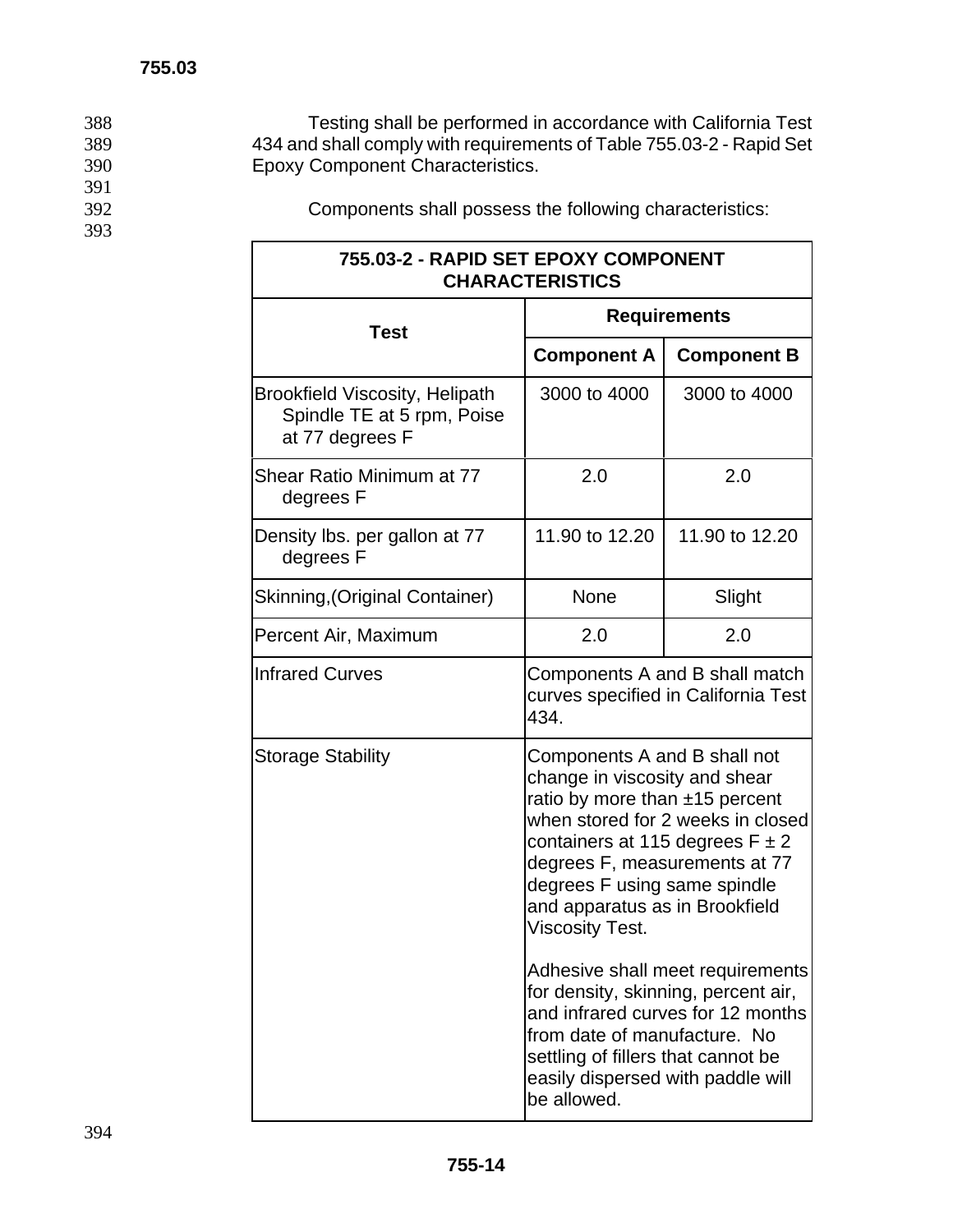388 Testing shall be performed in accordance with California Test 389 434 and shall comply with requirements of Table 755.03-2 - Rapid Set 390 Epoxy Component Characteristics.

- 391<br>392
- 393

Components shall possess the following characteristics:

| 755.03-2 - RAPID SET EPOXY COMPONENT<br><b>CHARACTERISTICS</b>                         |                                                                                                                                                                                                                                                                                                          |                                                                       |  |  |
|----------------------------------------------------------------------------------------|----------------------------------------------------------------------------------------------------------------------------------------------------------------------------------------------------------------------------------------------------------------------------------------------------------|-----------------------------------------------------------------------|--|--|
| <b>Test</b>                                                                            | <b>Requirements</b>                                                                                                                                                                                                                                                                                      |                                                                       |  |  |
|                                                                                        | <b>Component A</b>                                                                                                                                                                                                                                                                                       | <b>Component B</b>                                                    |  |  |
| <b>Brookfield Viscosity, Helipath</b><br>Spindle TE at 5 rpm, Poise<br>at 77 degrees F | 3000 to 4000                                                                                                                                                                                                                                                                                             | 3000 to 4000                                                          |  |  |
| Shear Ratio Minimum at 77<br>degrees F                                                 | 2.0                                                                                                                                                                                                                                                                                                      | 2.0                                                                   |  |  |
| Density Ibs. per gallon at 77<br>degrees F                                             | 11.90 to 12.20                                                                                                                                                                                                                                                                                           | 11.90 to 12.20                                                        |  |  |
| Skinning, (Original Container)                                                         | None                                                                                                                                                                                                                                                                                                     | Slight                                                                |  |  |
| Percent Air, Maximum                                                                   | 2.0                                                                                                                                                                                                                                                                                                      | 2.0                                                                   |  |  |
| <b>Infrared Curves</b>                                                                 | Components A and B shall match<br>curves specified in California Test<br>434.                                                                                                                                                                                                                            |                                                                       |  |  |
| <b>Storage Stability</b>                                                               | Components A and B shall not<br>change in viscosity and shear<br>ratio by more than ±15 percent<br>when stored for 2 weeks in closed<br>containers at 115 degrees $F \pm 2$<br>degrees F, measurements at 77<br>degrees F using same spindle<br>and apparatus as in Brookfield<br><b>Viscosity Test.</b> |                                                                       |  |  |
|                                                                                        | for density, skinning, percent air,<br>from date of manufacture. No<br>settling of fillers that cannot be<br>easily dispersed with paddle will<br>be allowed.                                                                                                                                            | Adhesive shall meet requirements<br>and infrared curves for 12 months |  |  |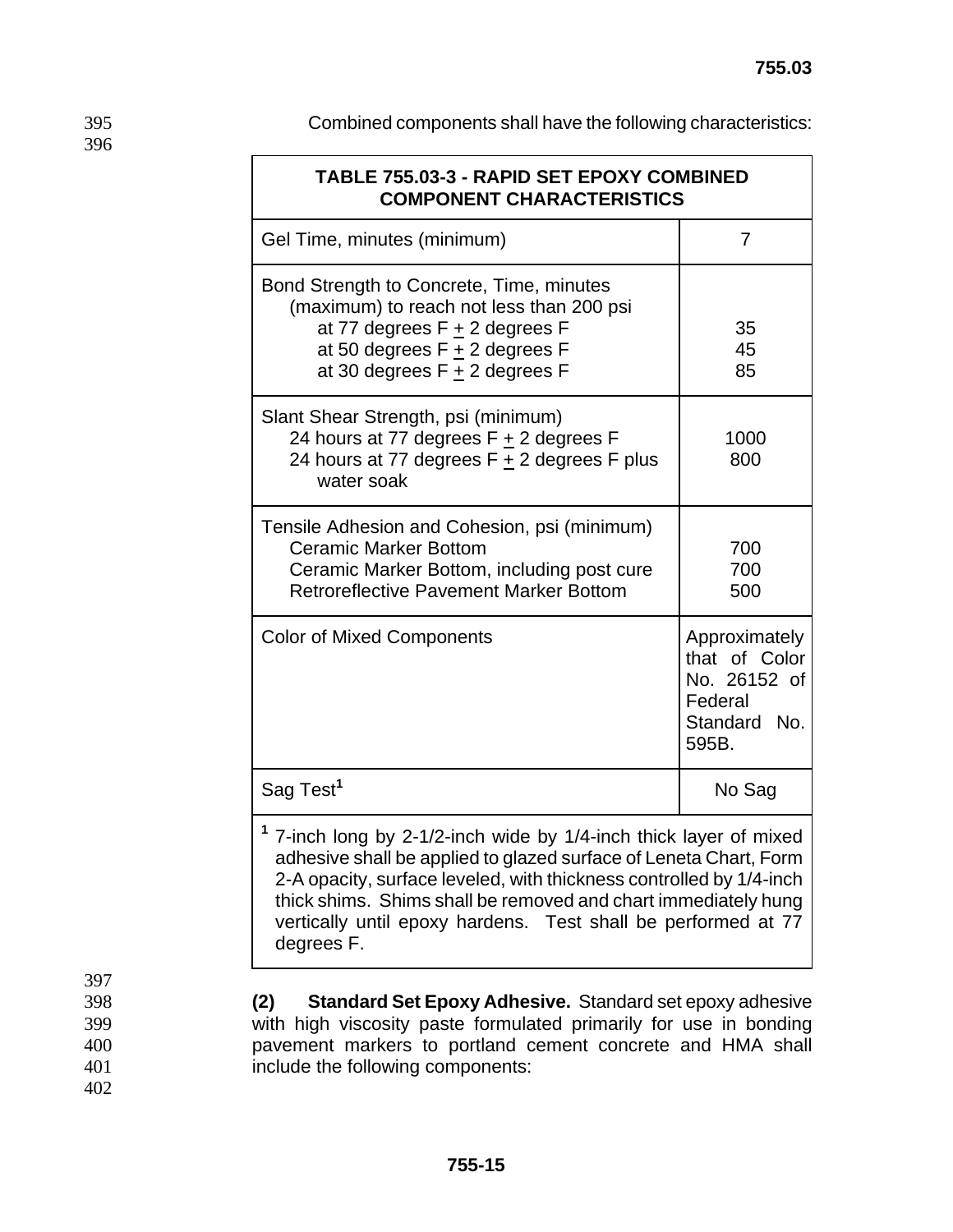| 395 | Combined components shall have the following characteristics: |
|-----|---------------------------------------------------------------|
|-----|---------------------------------------------------------------|

| <b>TABLE 755.03-3 - RAPID SET EPOXY COMBINED</b><br><b>COMPONENT CHARACTERISTICS</b>                                                                                                                                                                                                                                                                                      |                                                                                    |  |  |  |
|---------------------------------------------------------------------------------------------------------------------------------------------------------------------------------------------------------------------------------------------------------------------------------------------------------------------------------------------------------------------------|------------------------------------------------------------------------------------|--|--|--|
| Gel Time, minutes (minimum)                                                                                                                                                                                                                                                                                                                                               | $\overline{7}$                                                                     |  |  |  |
| Bond Strength to Concrete, Time, minutes<br>(maximum) to reach not less than 200 psi<br>at 77 degrees $F + 2$ degrees F<br>at 50 degrees $F + 2$ degrees F<br>at 30 degrees $F + 2$ degrees F                                                                                                                                                                             | 35<br>45<br>85                                                                     |  |  |  |
| Slant Shear Strength, psi (minimum)<br>24 hours at 77 degrees F + 2 degrees F<br>24 hours at 77 degrees $F + 2$ degrees F plus<br>water soak                                                                                                                                                                                                                              | 1000<br>800                                                                        |  |  |  |
| Tensile Adhesion and Cohesion, psi (minimum)<br><b>Ceramic Marker Bottom</b><br>Ceramic Marker Bottom, including post cure<br><b>Retroreflective Pavement Marker Bottom</b>                                                                                                                                                                                               | 700<br>700<br>500                                                                  |  |  |  |
| <b>Color of Mixed Components</b>                                                                                                                                                                                                                                                                                                                                          | Approximately<br>that of Color<br>No. 26152 of<br>Federal<br>Standard No.<br>595B. |  |  |  |
| Sag Test <sup>1</sup>                                                                                                                                                                                                                                                                                                                                                     | No Sag                                                                             |  |  |  |
| <sup>1</sup> 7-inch long by 2-1/2-inch wide by 1/4-inch thick layer of mixed<br>adhesive shall be applied to glazed surface of Leneta Chart, Form<br>2-A opacity, surface leveled, with thickness controlled by 1/4-inch<br>thick shims. Shims shall be removed and chart immediately hung<br>vertically until epoxy hardens. Test shall be performed at 77<br>degrees F. |                                                                                    |  |  |  |

397<br>398

398 **(2) Standard Set Epoxy Adhesive.** Standard set epoxy adhesive 399 with high viscosity paste formulated primarily for use in bonding<br>400 may be pay and markers to portland cement concrete and HMA shall pavement markers to portland cement concrete and HMA shall 401 include the following components: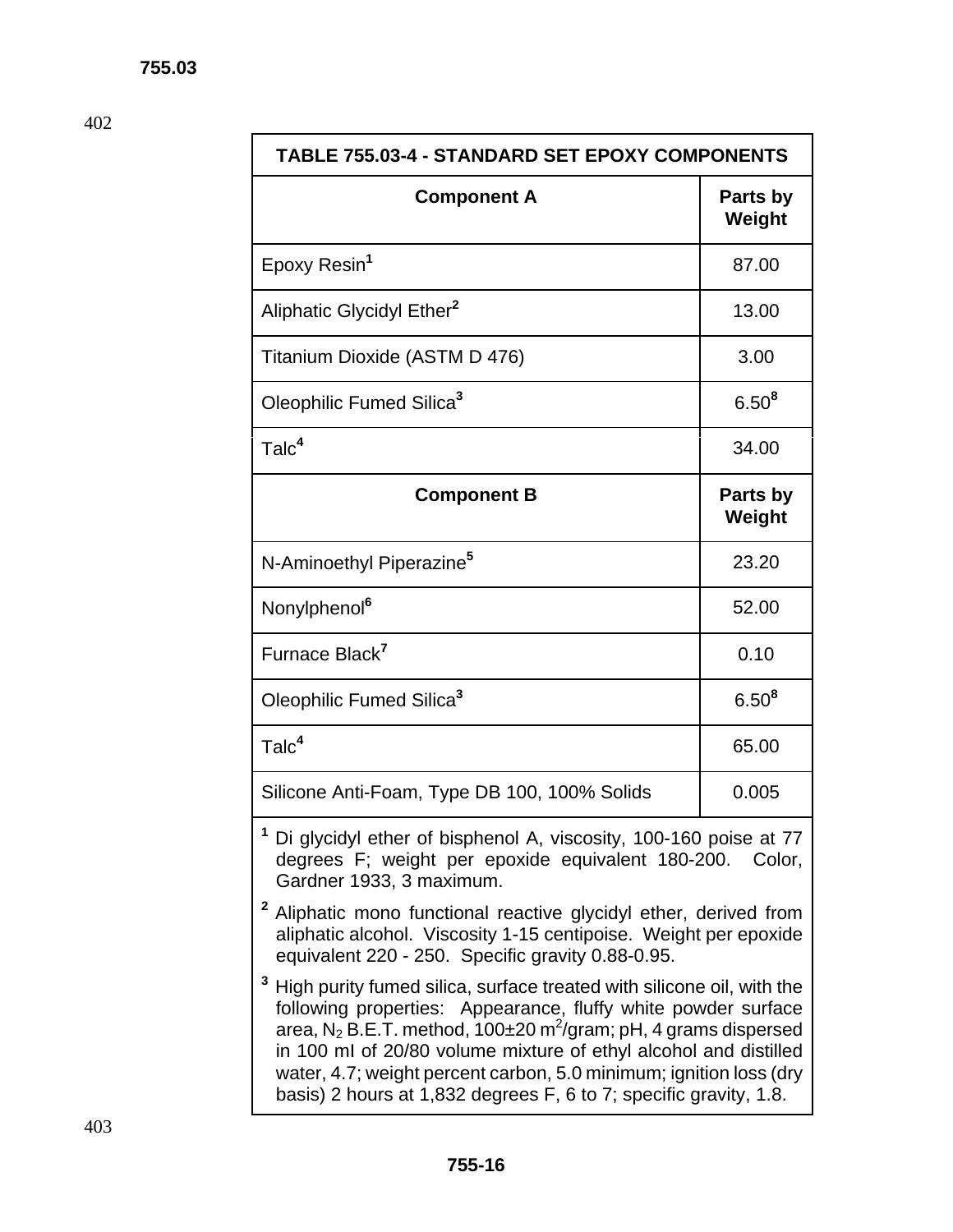| <b>TABLE 755.03-4 - STANDARD SET EPOXY COMPONENTS</b>                                                                                                                    |                    |  |  |  |
|--------------------------------------------------------------------------------------------------------------------------------------------------------------------------|--------------------|--|--|--|
| <b>Component A</b>                                                                                                                                                       | Parts by<br>Weight |  |  |  |
| Epoxy Resin <sup>1</sup>                                                                                                                                                 | 87.00              |  |  |  |
| Aliphatic Glycidyl Ether <sup>2</sup>                                                                                                                                    | 13.00              |  |  |  |
| Titanium Dioxide (ASTM D 476)                                                                                                                                            | 3.00               |  |  |  |
| Oleophilic Fumed Silica <sup>3</sup>                                                                                                                                     | $6.50^{8}$         |  |  |  |
| Talc <sup>4</sup>                                                                                                                                                        | 34.00              |  |  |  |
| <b>Component B</b>                                                                                                                                                       | Parts by<br>Weight |  |  |  |
| N-Aminoethyl Piperazine <sup>5</sup>                                                                                                                                     | 23.20              |  |  |  |
| Nonylphenol <sup>6</sup>                                                                                                                                                 | 52.00              |  |  |  |
| Furnace Black <sup>7</sup>                                                                                                                                               | 0.10               |  |  |  |
| Oleophilic Fumed Silica <sup>3</sup>                                                                                                                                     | $6.50^{8}$         |  |  |  |
| Talc <sup>4</sup><br>65.00                                                                                                                                               |                    |  |  |  |
| Silicone Anti-Foam, Type DB 100, 100% Solids                                                                                                                             | 0.005              |  |  |  |
| <sup>1</sup> Di glycidyl ether of bisphenol A, viscosity, 100-160 poise at 77<br>degrees F; weight per epoxide equivalent 180-200.<br>Color,<br>Gardner 1933, 3 maximum. |                    |  |  |  |

- **<sup>2</sup>** Aliphatic mono functional reactive glycidyl ether, derived from aliphatic alcohol. Viscosity 1-15 centipoise. Weight per epoxide equivalent 220 - 250. Specific gravity 0.88-0.95.
- **3** High purity fumed silica, surface treated with silicone oil, with the following properties: Appearance, fluffy white powder surface area, N<sub>2</sub> B.E.T. method, 100±20 m<sup>2</sup>/gram; pH, 4 grams dispersed in 100 mI of 20/80 volume mixture of ethyl alcohol and distilled water, 4.7; weight percent carbon, 5.0 minimum; ignition loss (dry basis) 2 hours at 1,832 degrees F, 6 to 7; specific gravity, 1.8.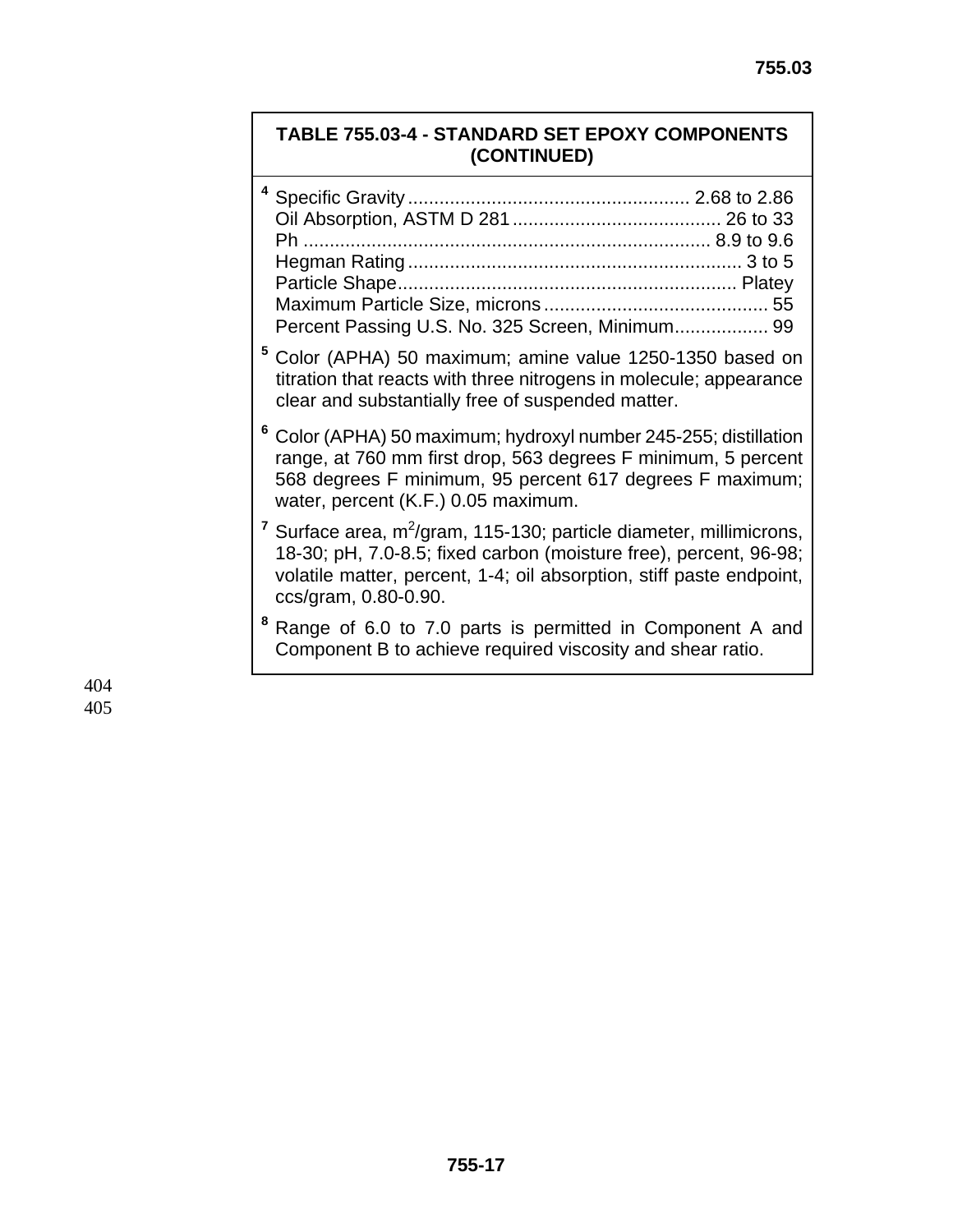# **TABLE 755.03-4 - STANDARD SET EPOXY COMPONENTS (CONTINUED)**

| Percent Passing U.S. No. 325 Screen, Minimum 99 |  |
|-------------------------------------------------|--|

- **<sup>5</sup>** Color (APHA) 50 maximum; amine value 1250-1350 based on titration that reacts with three nitrogens in molecule; appearance clear and substantially free of suspended matter.
- **<sup>6</sup>** Color (APHA) 50 maximum; hydroxyl number 245-255; distillation range, at 760 mm first drop, 563 degrees F minimum, 5 percent 568 degrees F minimum, 95 percent 617 degrees F maximum; water, percent (K.F.) 0.05 maximum.
- <sup>7</sup> Surface area, m<sup>2</sup>/gram, 115-130; particle diameter, millimicrons, 18-30; pH, 7.0-8.5; fixed carbon (moisture free), percent, 96-98; volatile matter, percent, 1-4; oil absorption, stiff paste endpoint, ccs/gram, 0.80-0.90.
- **8** Range of 6.0 to 7.0 parts is permitted in Component A and Component B to achieve required viscosity and shear ratio.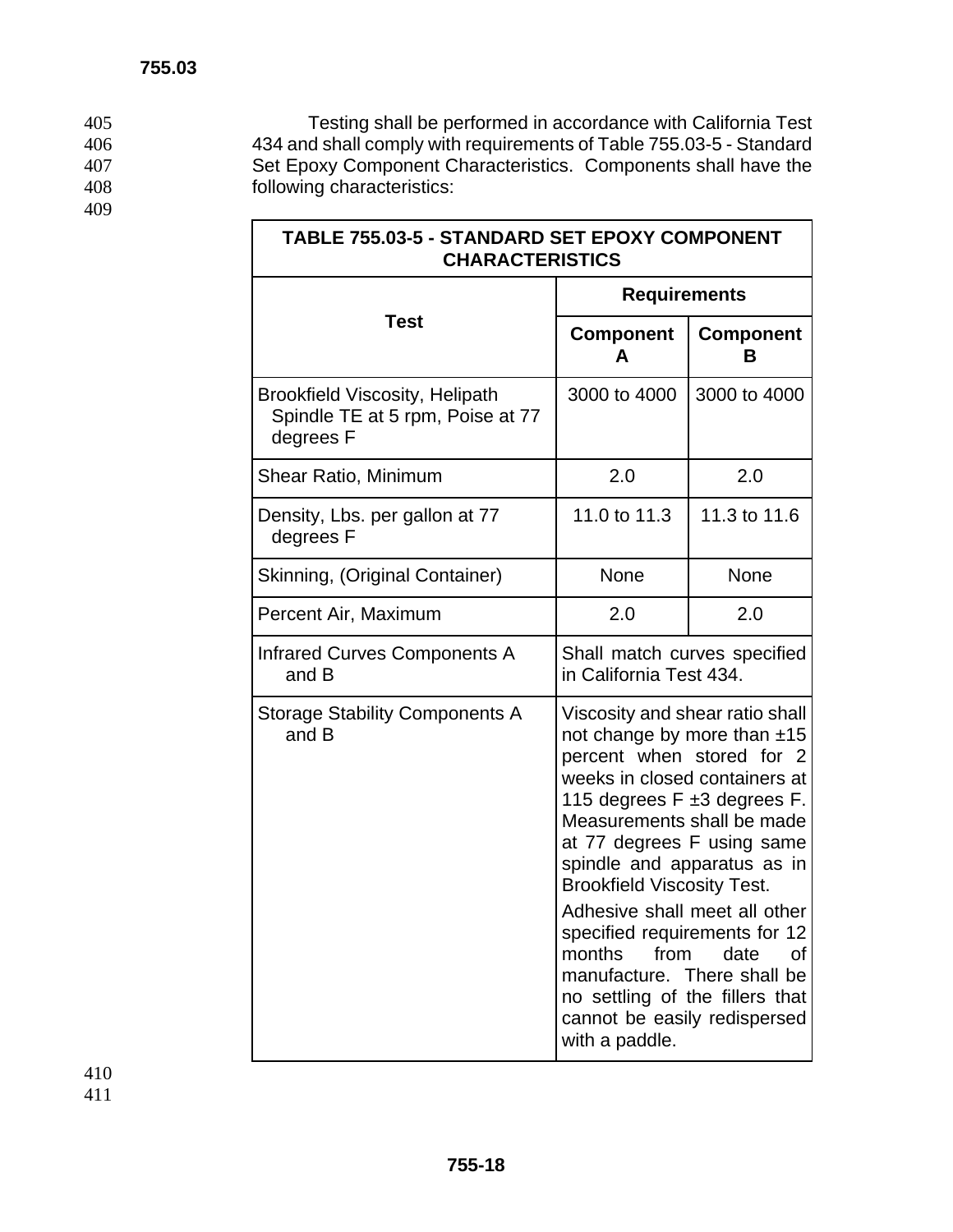405 Testing shall be performed in accordance with California Test<br>406 434 and shall comply with requirements of Table 755.03-5 - Standard 434 and shall comply with requirements of Table 755.03-5 - Standard 407 Set Epoxy Component Characteristics. Components shall have the 408 following characteristics:

 $\overline{\phantom{a}}$ 

| TABLE 755.03-5 - STANDARD SET EPOXY COMPONENT<br><b>CHARACTERISTICS</b>                |                                                                                                                                                                                                                                                                                                                                                                                                                                                                                                                   |                       |  |  |  |
|----------------------------------------------------------------------------------------|-------------------------------------------------------------------------------------------------------------------------------------------------------------------------------------------------------------------------------------------------------------------------------------------------------------------------------------------------------------------------------------------------------------------------------------------------------------------------------------------------------------------|-----------------------|--|--|--|
|                                                                                        | <b>Requirements</b>                                                                                                                                                                                                                                                                                                                                                                                                                                                                                               |                       |  |  |  |
| <b>Test</b>                                                                            | <b>Component</b><br>A                                                                                                                                                                                                                                                                                                                                                                                                                                                                                             | <b>Component</b><br>в |  |  |  |
| <b>Brookfield Viscosity, Helipath</b><br>Spindle TE at 5 rpm, Poise at 77<br>degrees F | 3000 to 4000                                                                                                                                                                                                                                                                                                                                                                                                                                                                                                      | 3000 to 4000          |  |  |  |
| Shear Ratio, Minimum                                                                   | 2.0                                                                                                                                                                                                                                                                                                                                                                                                                                                                                                               | 2.0                   |  |  |  |
| Density, Lbs. per gallon at 77<br>degrees F                                            | 11.0 to 11.3                                                                                                                                                                                                                                                                                                                                                                                                                                                                                                      | 11.3 to 11.6          |  |  |  |
| Skinning, (Original Container)                                                         | None                                                                                                                                                                                                                                                                                                                                                                                                                                                                                                              | None                  |  |  |  |
| Percent Air, Maximum                                                                   | 2.0<br>2.0                                                                                                                                                                                                                                                                                                                                                                                                                                                                                                        |                       |  |  |  |
| <b>Infrared Curves Components A</b><br>and B                                           | Shall match curves specified<br>in California Test 434.                                                                                                                                                                                                                                                                                                                                                                                                                                                           |                       |  |  |  |
| <b>Storage Stability Components A</b><br>and B                                         | Viscosity and shear ratio shall<br>not change by more than ±15<br>percent when stored for 2<br>weeks in closed containers at<br>115 degrees F ±3 degrees F.<br>Measurements shall be made<br>at 77 degrees F using same<br>spindle and apparatus as in<br><b>Brookfield Viscosity Test.</b><br>Adhesive shall meet all other<br>specified requirements for 12<br>months<br>from<br>date<br>οf<br>manufacture. There shall be<br>no settling of the fillers that<br>cannot be easily redispersed<br>with a paddle. |                       |  |  |  |

 $\Gamma$ 

409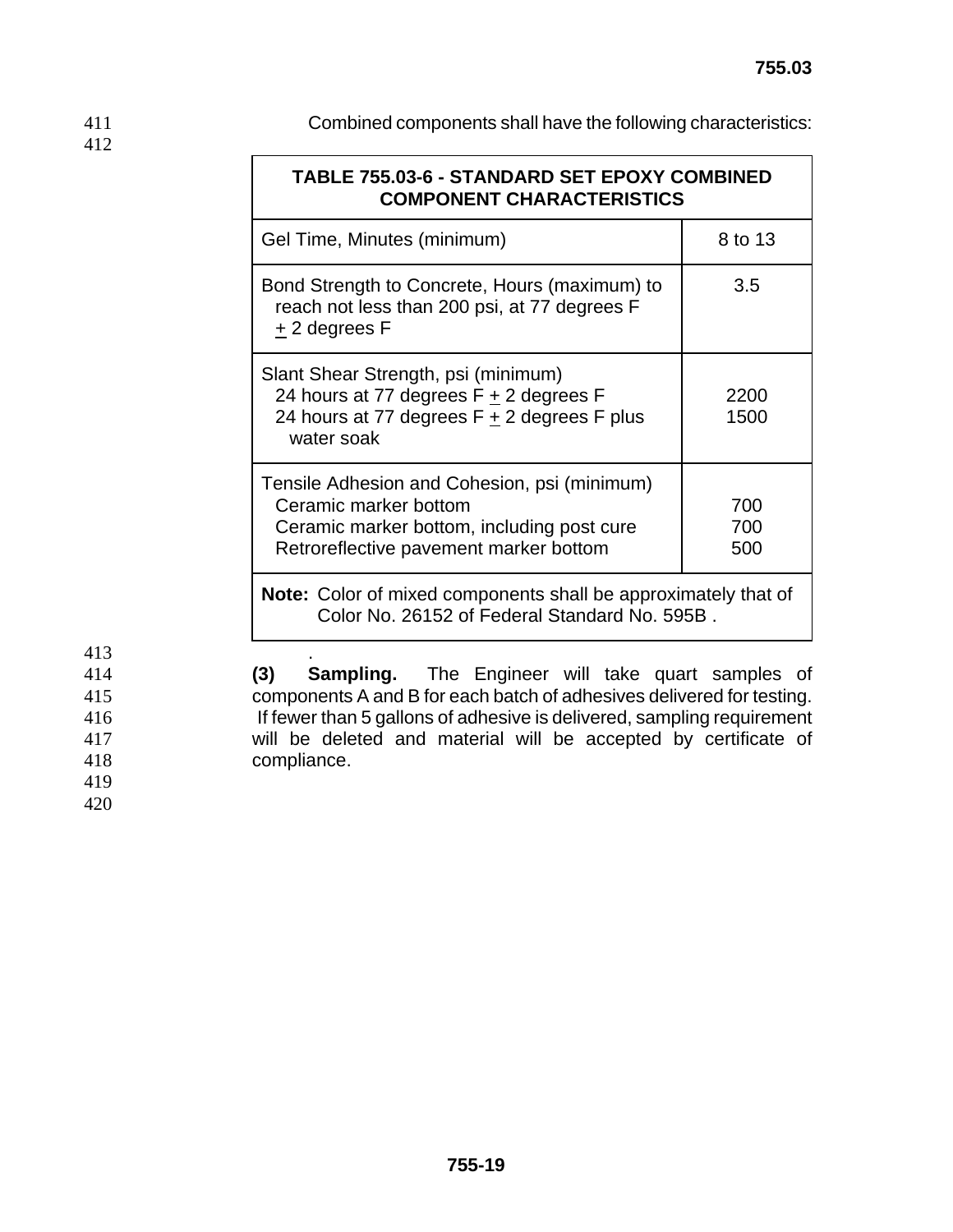411 Combined components shall have the following characteristics:

| <b>TABLE 755.03-6 - STANDARD SET EPOXY COMBINED</b><br><b>COMPONENT CHARACTERISTICS</b>                                                                       |                   |  |  |  |
|---------------------------------------------------------------------------------------------------------------------------------------------------------------|-------------------|--|--|--|
| Gel Time, Minutes (minimum)                                                                                                                                   | 8 to 13           |  |  |  |
| Bond Strength to Concrete, Hours (maximum) to<br>reach not less than 200 psi, at 77 degrees F<br>$±$ 2 degrees F                                              | 3.5               |  |  |  |
| Slant Shear Strength, psi (minimum)<br>24 hours at 77 degrees F + 2 degrees F<br>24 hours at 77 degrees $F + 2$ degrees F plus<br>water soak                  | 2200<br>1500      |  |  |  |
| Tensile Adhesion and Cohesion, psi (minimum)<br>Ceramic marker bottom<br>Ceramic marker bottom, including post cure<br>Retroreflective pavement marker bottom | 700<br>700<br>500 |  |  |  |
| <b>Note:</b> Color of mixed components shall be approximately that of<br>Color No. 26152 of Federal Standard No. 595B.                                        |                   |  |  |  |

413 .

**(3) Sampling.** The Engineer will take quart samples of components A and B for each batch of adhesives delivered for testing. **If fewer than 5 gallons of adhesive is delivered, sampling requirement** will be deleted and material will be accepted by certificate of compliance.

419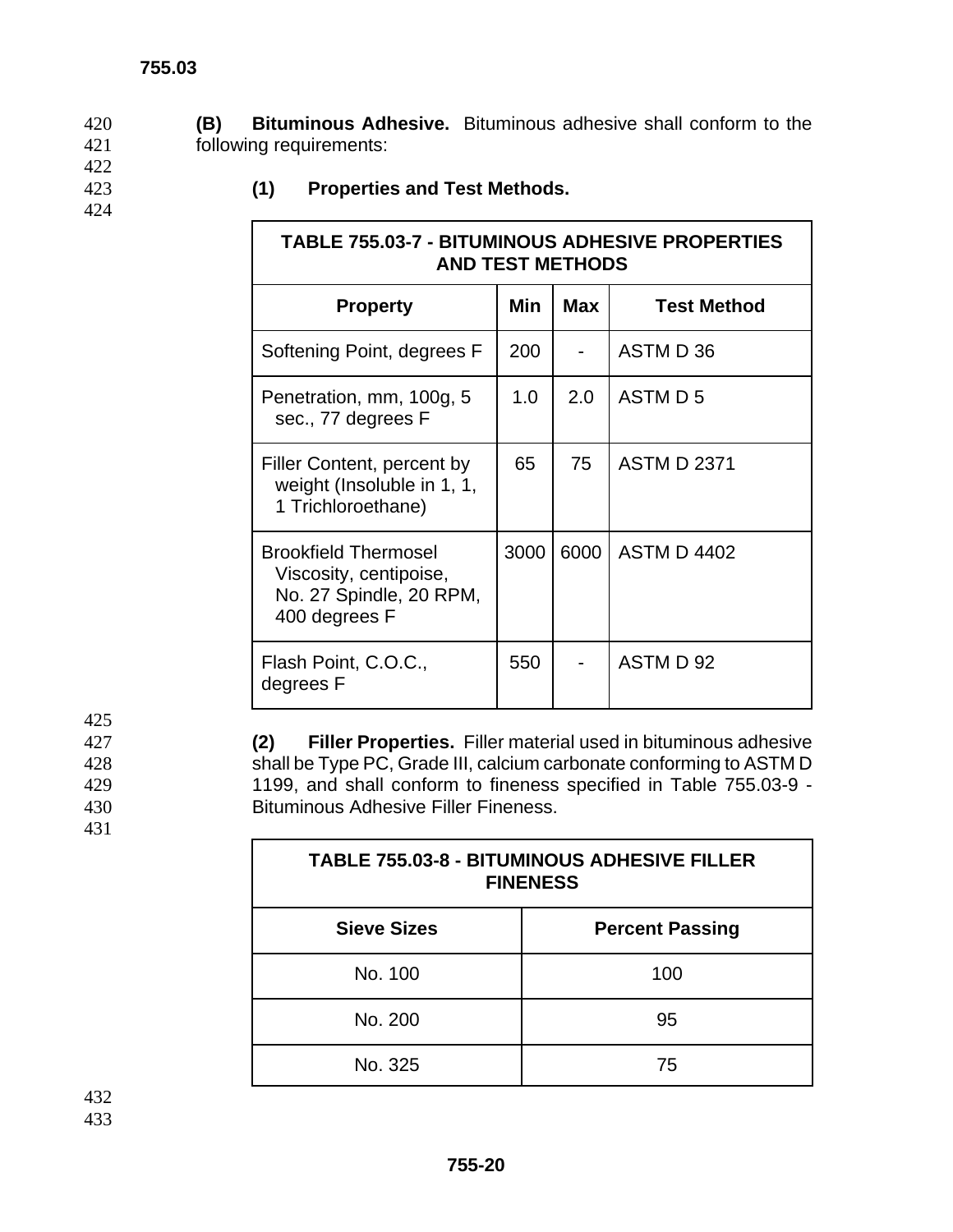$\Gamma$ 

420 **(B) Bituminous Adhesive.** Bituminous adhesive shall conform to the 421 following requirements:

- 422
- 424

# 423 **(1) Properties and Test Methods.**

| <b>TABLE 755.03-7 - BITUMINOUS ADHESIVE PROPERTIES</b><br><b>AND TEST METHODS</b>                 |      |      |                    |  |  |  |
|---------------------------------------------------------------------------------------------------|------|------|--------------------|--|--|--|
| <b>Property</b>                                                                                   | Min  | Max  | <b>Test Method</b> |  |  |  |
| Softening Point, degrees F                                                                        | 200  |      | ASTM D 36          |  |  |  |
| Penetration, mm, 100g, 5<br>sec., 77 degrees F                                                    | 1.0  | 2.0  | ASTM D 5           |  |  |  |
| Filler Content, percent by<br>weight (Insoluble in 1, 1,<br>1 Trichloroethane)                    | 65   | 75   | <b>ASTM D 2371</b> |  |  |  |
| <b>Brookfield Thermosel</b><br>Viscosity, centipoise,<br>No. 27 Spindle, 20 RPM,<br>400 degrees F | 3000 | 6000 | <b>ASTM D 4402</b> |  |  |  |
| Flash Point, C.O.C.,<br>degrees F                                                                 | 550  |      | ASTM D 92          |  |  |  |

 $\mathbf{I}$ 

**(2) Filler Properties.** Filler material used in bituminous adhesive shall be Type PC, Grade III, calcium carbonate conforming to ASTM D 1199, and shall conform to fineness specified in Table 755.03-9 - Bituminous Adhesive Filler Fineness.

| <b>TABLE 755.03-8 - BITUMINOUS ADHESIVE FILLER</b><br><b>FINENESS</b> |                        |  |  |  |
|-----------------------------------------------------------------------|------------------------|--|--|--|
| <b>Sieve Sizes</b>                                                    | <b>Percent Passing</b> |  |  |  |
| No. 100                                                               | 100                    |  |  |  |
| No. 200                                                               | 95                     |  |  |  |
| No. 325                                                               | 75                     |  |  |  |

432 433

425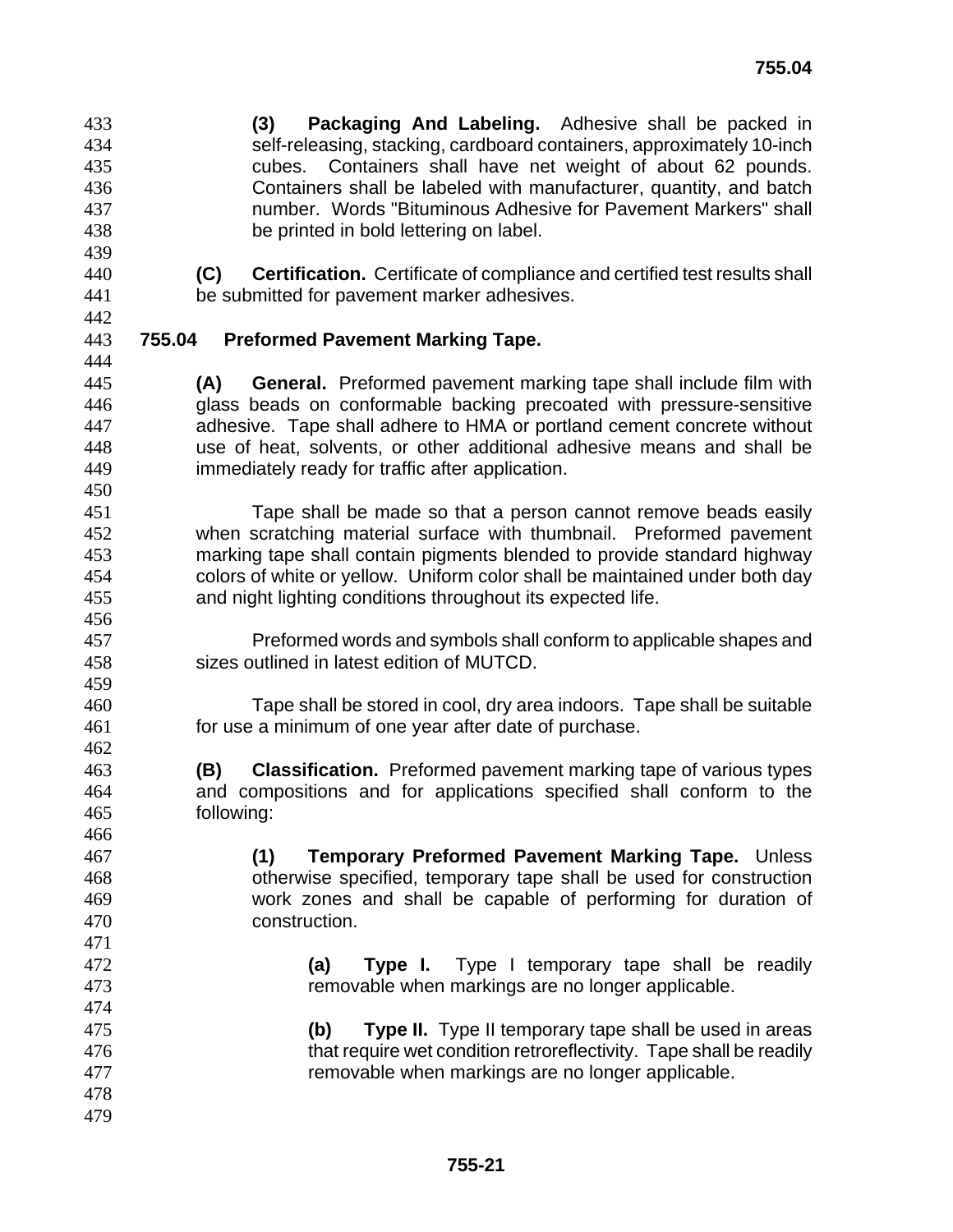**(3) Packaging And Labeling.** Adhesive shall be packed in self-releasing, stacking, cardboard containers, approximately 10-inch cubes. Containers shall have net weight of about 62 pounds. Containers shall be labeled with manufacturer, quantity, and batch number. Words "Bituminous Adhesive for Pavement Markers" shall be printed in bold lettering on label.

**755.03** 

**(C) Certification.** Certificate of compliance and certified test results shall be submitted for pavement marker adhesives.

#### **755.04 Preformed Pavement Marking Tape.**

**(A) General.** Preformed pavement marking tape shall include film with glass beads on conformable backing precoated with pressure-sensitive adhesive. Tape shall adhere to HMA or portland cement concrete without use of heat, solvents, or other additional adhesive means and shall be immediately ready for traffic after application.

Tape shall be made so that a person cannot remove beads easily when scratching material surface with thumbnail. Preformed pavement marking tape shall contain pigments blended to provide standard highway colors of white or yellow. Uniform color shall be maintained under both day and night lighting conditions throughout its expected life.

- Preformed words and symbols shall conform to applicable shapes and sizes outlined in latest edition of MUTCD.
- Tape shall be stored in cool, dry area indoors. Tape shall be suitable for use a minimum of one year after date of purchase.
- **(B) Classification.** Preformed pavement marking tape of various types and compositions and for applications specified shall conform to the following:
- **(1) Temporary Preformed Pavement Marking Tape.** Unless otherwise specified, temporary tape shall be used for construction work zones and shall be capable of performing for duration of construction.
- **(a) Type I.** Type I temporary tape shall be readily removable when markings are no longer applicable.
- **(b) Type II.** Type II temporary tape shall be used in areas that require wet condition retroreflectivity. Tape shall be readily removable when markings are no longer applicable.
-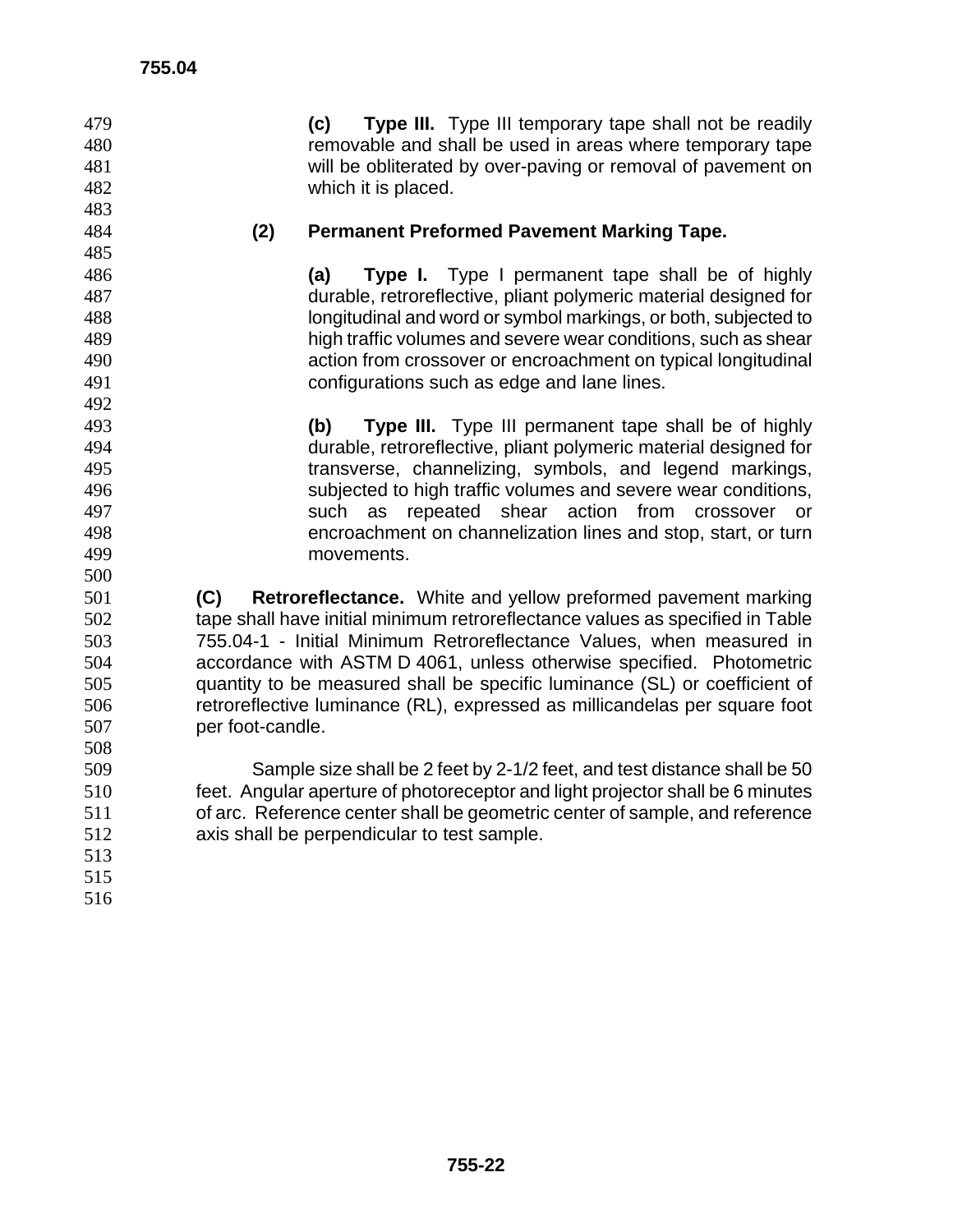| 479<br>480<br>481<br>482<br>483 |                  | (c)<br>which it is placed.                  | Type III. Type III temporary tape shall not be readily<br>removable and shall be used in areas where temporary tape<br>will be obliterated by over-paving or removal of pavement on |                 |
|---------------------------------|------------------|---------------------------------------------|-------------------------------------------------------------------------------------------------------------------------------------------------------------------------------------|-----------------|
| 484                             | (2)              |                                             | <b>Permanent Preformed Pavement Marking Tape.</b>                                                                                                                                   |                 |
| 485                             |                  |                                             |                                                                                                                                                                                     |                 |
| 486                             |                  | (a)                                         | Type I. Type I permanent tape shall be of highly                                                                                                                                    |                 |
| 487                             |                  |                                             | durable, retroreflective, pliant polymeric material designed for                                                                                                                    |                 |
| 488                             |                  |                                             | longitudinal and word or symbol markings, or both, subjected to                                                                                                                     |                 |
| 489                             |                  |                                             | high traffic volumes and severe wear conditions, such as shear                                                                                                                      |                 |
| 490                             |                  |                                             | action from crossover or encroachment on typical longitudinal                                                                                                                       |                 |
| 491                             |                  |                                             | configurations such as edge and lane lines.                                                                                                                                         |                 |
| 492                             |                  |                                             |                                                                                                                                                                                     |                 |
| 493                             |                  | (b)                                         | Type III. Type III permanent tape shall be of highly                                                                                                                                |                 |
| 494                             |                  |                                             | durable, retroreflective, pliant polymeric material designed for                                                                                                                    |                 |
| 495                             |                  |                                             | transverse, channelizing, symbols, and legend markings,                                                                                                                             |                 |
| 496                             |                  |                                             | subjected to high traffic volumes and severe wear conditions,                                                                                                                       |                 |
| 497                             |                  | as<br>such                                  | repeated shear action from                                                                                                                                                          | crossover<br>or |
| 498                             |                  |                                             | encroachment on channelization lines and stop, start, or turn                                                                                                                       |                 |
| 499                             |                  | movements.                                  |                                                                                                                                                                                     |                 |
| 500                             |                  |                                             |                                                                                                                                                                                     |                 |
| 501                             | (C)              |                                             | Retroreflectance. White and yellow preformed pavement marking                                                                                                                       |                 |
| 502                             |                  |                                             | tape shall have initial minimum retroreflectance values as specified in Table                                                                                                       |                 |
| 503                             |                  |                                             | 755.04-1 - Initial Minimum Retroreflectance Values, when measured in                                                                                                                |                 |
| 504                             |                  |                                             | accordance with ASTM D 4061, unless otherwise specified. Photometric                                                                                                                |                 |
| 505                             |                  |                                             | quantity to be measured shall be specific luminance (SL) or coefficient of                                                                                                          |                 |
| 506                             |                  |                                             | retroreflective luminance (RL), expressed as millicandelas per square foot                                                                                                          |                 |
| 507                             | per foot-candle. |                                             |                                                                                                                                                                                     |                 |
| 508                             |                  |                                             |                                                                                                                                                                                     |                 |
| 509                             |                  |                                             | Sample size shall be 2 feet by 2-1/2 feet, and test distance shall be 50                                                                                                            |                 |
| 510                             |                  |                                             | feet. Angular aperture of photoreceptor and light projector shall be 6 minutes                                                                                                      |                 |
| 511                             |                  |                                             | of arc. Reference center shall be geometric center of sample, and reference                                                                                                         |                 |
| 512                             |                  | axis shall be perpendicular to test sample. |                                                                                                                                                                                     |                 |
| 513                             |                  |                                             |                                                                                                                                                                                     |                 |
| 515                             |                  |                                             |                                                                                                                                                                                     |                 |
| 516                             |                  |                                             |                                                                                                                                                                                     |                 |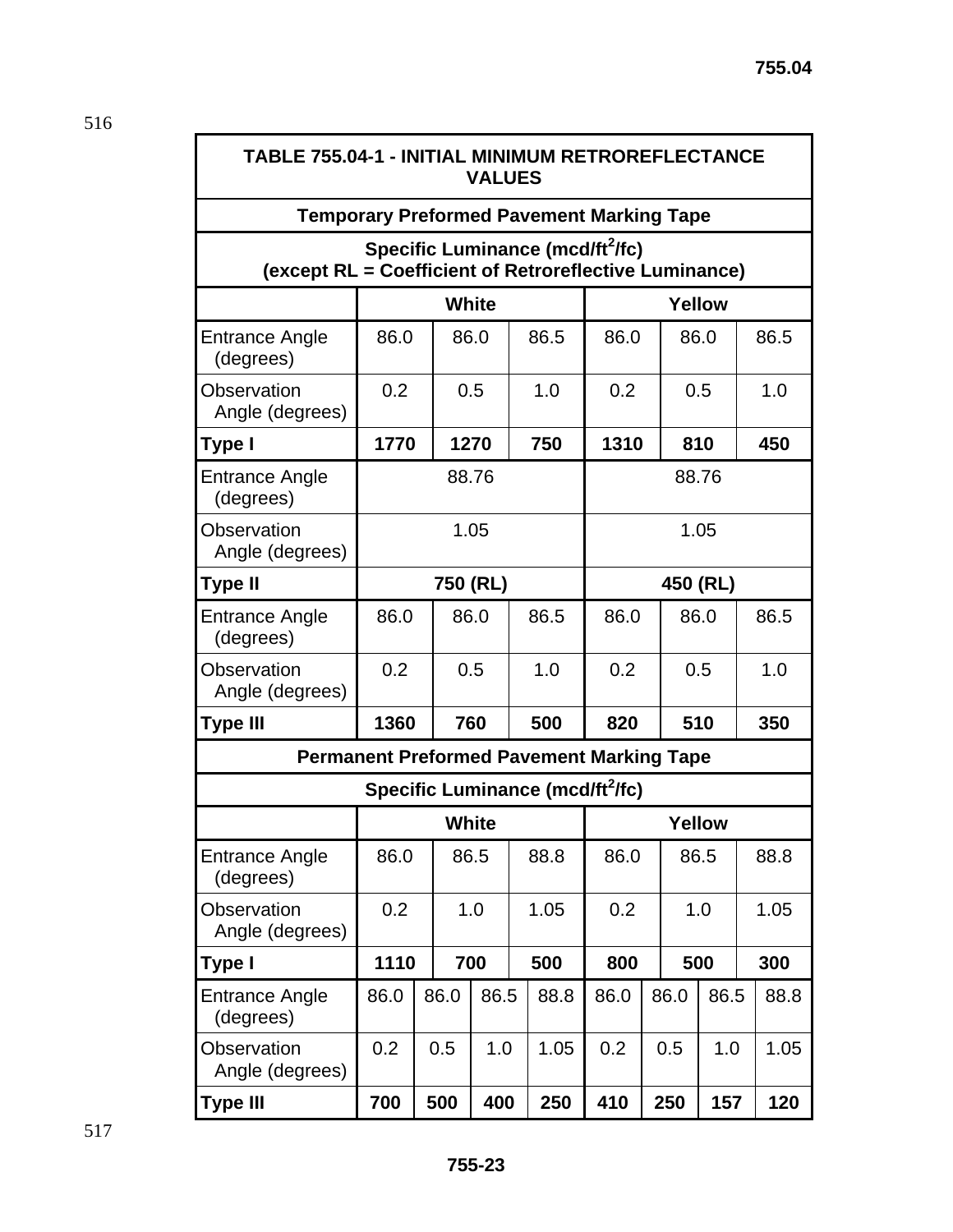### **TABLE 755.04-1 - INITIAL MINIMUM RETROREFLECTANCE VALUES**

#### **Temporary Preformed Pavement Marking Tape**

# Specific Luminance (mcd/ft<sup>2</sup>/fc) **(except RL = Coefficient of Retroreflective Luminance)**

|                                                  | <b>White</b> |            |              | <b>Yellow</b>                                |        |      |          |     |      |
|--------------------------------------------------|--------------|------------|--------------|----------------------------------------------|--------|------|----------|-----|------|
| Entrance Angle<br>(degrees)                      | 86.0         |            | 86.0         | 86.5                                         | 86.0   |      | 86.0     |     | 86.5 |
| Observation<br>Angle (degrees)                   | 0.2          |            | 0.5          | 1.0                                          | 0.2    |      | 0.5      |     | 1.0  |
| Type I                                           | 1770         |            | 1270         | 750                                          | 1310   |      | 810      |     | 450  |
| <b>Entrance Angle</b><br>(degrees)               |              |            | 88.76        |                                              | 88.76  |      |          |     |      |
| Observation<br>Angle (degrees)                   |              |            | 1.05         |                                              | 1.05   |      |          |     |      |
| Type II                                          |              |            | 750 (RL)     |                                              |        |      | 450 (RL) |     |      |
| <b>Entrance Angle</b><br>(degrees)               | 86.0         |            | 86.0<br>86.5 |                                              | 86.0   |      | 86.0     |     | 86.5 |
| <b>Observation</b><br>Angle (degrees)            | 0.2          |            | 1.0<br>0.5   |                                              | 0.2    |      | 0.5      |     | 1.0  |
| <b>Type III</b>                                  | 1360         | 760<br>500 |              | 820                                          |        | 510  |          | 350 |      |
| <b>Permanent Preformed Pavement Marking Tape</b> |              |            |              |                                              |        |      |          |     |      |
|                                                  |              |            |              | Specific Luminance (mcd/ft <sup>2</sup> /fc) |        |      |          |     |      |
|                                                  |              |            | <b>White</b> |                                              | Yellow |      |          |     |      |
| <b>Entrance Angle</b><br>(degrees)               | 86.0         |            | 86.5         | 88.8                                         | 86.0   |      | 86.5     |     | 88.8 |
| <b>Observation</b><br>Angle (degrees)            | 0.2          |            | 1.0          | 1.05                                         | 0.2    |      | 1.0      |     | 1.05 |
| Type I                                           | 1110         |            | 700<br>500   |                                              | 800    |      | 500      |     | 300  |
| <b>Entrance Angle</b><br>(degrees)               | 86.0         | 86.0       | 86.5         | 88.8                                         | 86.0   | 86.0 | 86.5     |     | 88.8 |
| Observation<br>Angle (degrees)                   | 0.2          | 0.5        | 1.0          | 1.05                                         | 0.2    | 0.5  | 1.0      |     | 1.05 |
| <b>Type III</b>                                  | 700          | 500        | 400          | 250                                          | 410    | 250  | 157      |     | 120  |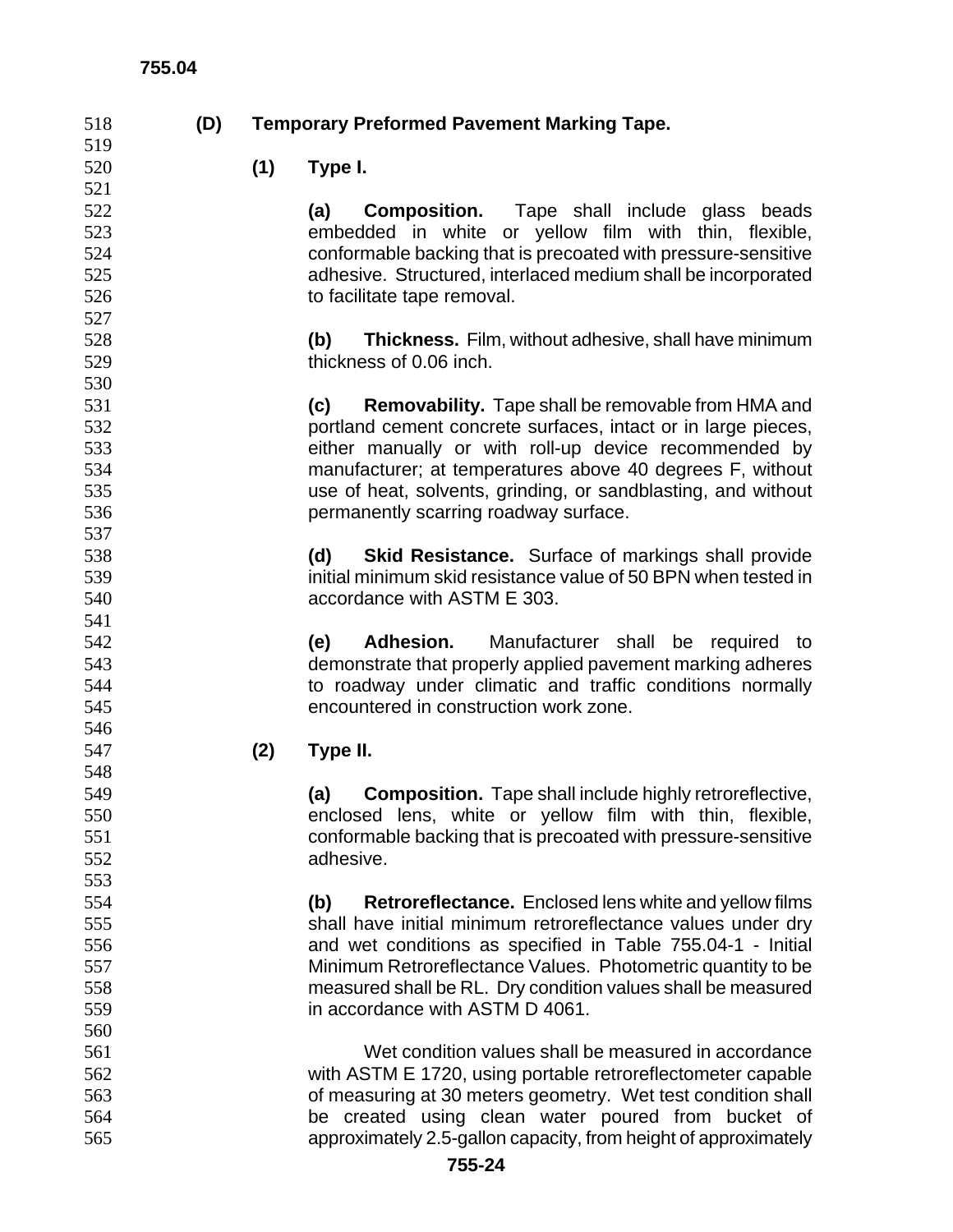# **(D) Temporary Preformed Pavement Marking Tape.**

**(1) Type I.** 

**(a) Composition.** Tape shall include glass beads embedded in white or yellow film with thin, flexible, conformable backing that is precoated with pressure-sensitive adhesive. Structured, interlaced medium shall be incorporated 526 to facilitate tape removal.

**(b) Thickness.** Film, without adhesive, shall have minimum thickness of 0.06 inch.

**(c) Removability.** Tape shall be removable from HMA and portland cement concrete surfaces, intact or in large pieces, either manually or with roll-up device recommended by manufacturer; at temperatures above 40 degrees F, without use of heat, solvents, grinding, or sandblasting, and without permanently scarring roadway surface.

**(d) Skid Resistance.** Surface of markings shall provide initial minimum skid resistance value of 50 BPN when tested in accordance with ASTM E 303.

**(e) Adhesion.** Manufacturer shall be required to demonstrate that properly applied pavement marking adheres to roadway under climatic and traffic conditions normally encountered in construction work zone.

**(2) Type II.** 

**(a) Composition.** Tape shall include highly retroreflective, enclosed lens, white or yellow film with thin, flexible, conformable backing that is precoated with pressure-sensitive adhesive.

**(b) Retroreflectance.** Enclosed lens white and yellow films shall have initial minimum retroreflectance values under dry and wet conditions as specified in Table 755.04-1 - Initial Minimum Retroreflectance Values. Photometric quantity to be measured shall be RL. Dry condition values shall be measured in accordance with ASTM D 4061.

Wet condition values shall be measured in accordance with ASTM E 1720, using portable retroreflectometer capable of measuring at 30 meters geometry. Wet test condition shall be created using clean water poured from bucket of approximately 2.5-gallon capacity, from height of approximately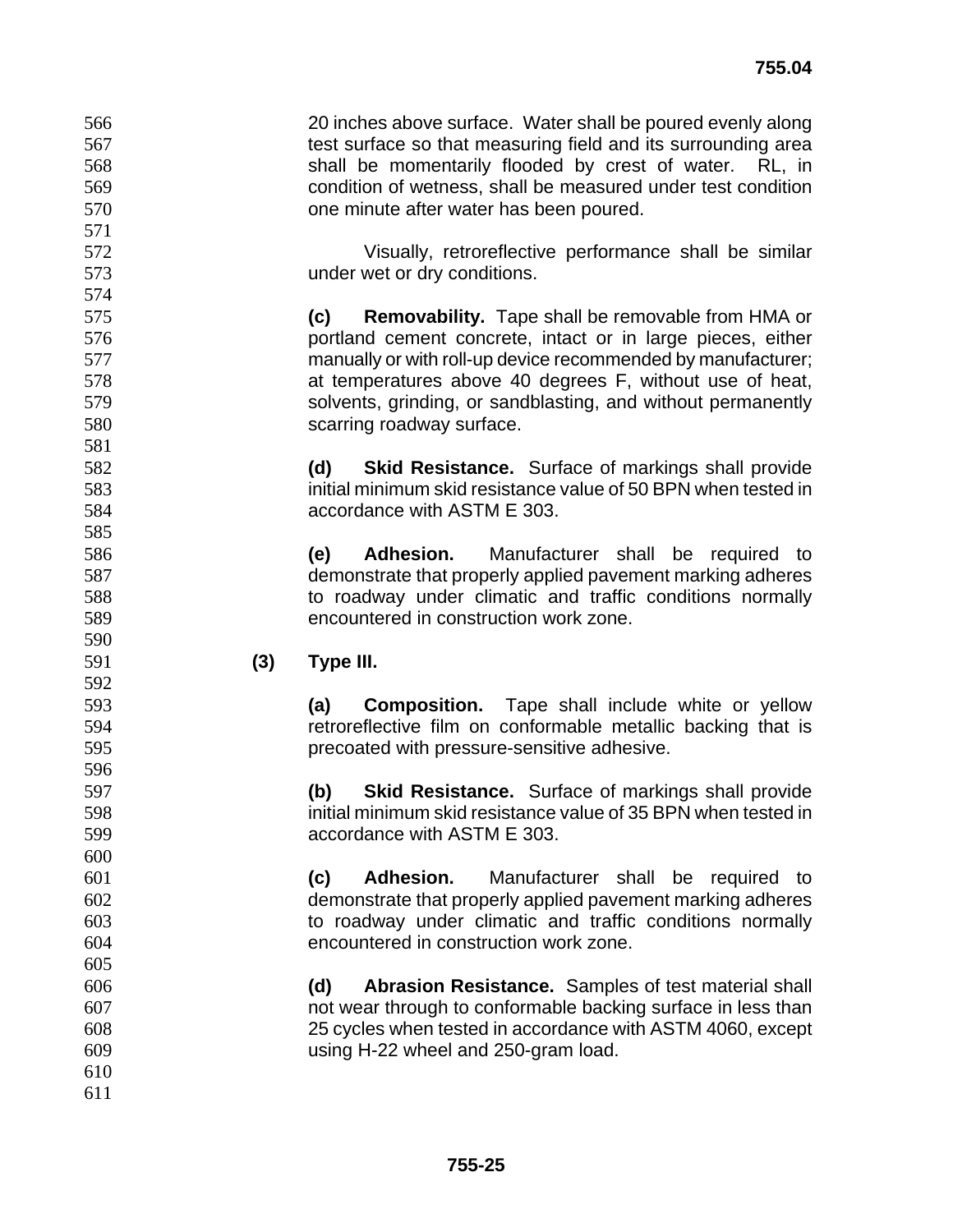20 inches above surface. Water shall be poured evenly along 567 test surface so that measuring field and its surrounding area shall be momentarily flooded by crest of water. RL, in condition of wetness, shall be measured under test condition one minute after water has been poured.

Visually, retroreflective performance shall be similar under wet or dry conditions.

**(c) Removability.** Tape shall be removable from HMA or portland cement concrete, intact or in large pieces, either manually or with roll-up device recommended by manufacturer; at temperatures above 40 degrees F, without use of heat, solvents, grinding, or sandblasting, and without permanently scarring roadway surface.

**(d) Skid Resistance.** Surface of markings shall provide initial minimum skid resistance value of 50 BPN when tested in accordance with ASTM E 303.

**(e) Adhesion.** Manufacturer shall be required to demonstrate that properly applied pavement marking adheres to roadway under climatic and traffic conditions normally encountered in construction work zone.

**(3) Type III.** 

**(a) Composition.** Tape shall include white or yellow retroreflective film on conformable metallic backing that is precoated with pressure-sensitive adhesive.

**(b) Skid Resistance.** Surface of markings shall provide initial minimum skid resistance value of 35 BPN when tested in accordance with ASTM E 303.

**(c) Adhesion.** Manufacturer shall be required to demonstrate that properly applied pavement marking adheres to roadway under climatic and traffic conditions normally encountered in construction work zone.

**(d) Abrasion Resistance.** Samples of test material shall not wear through to conformable backing surface in less than 25 cycles when tested in accordance with ASTM 4060, except using H-22 wheel and 250-gram load.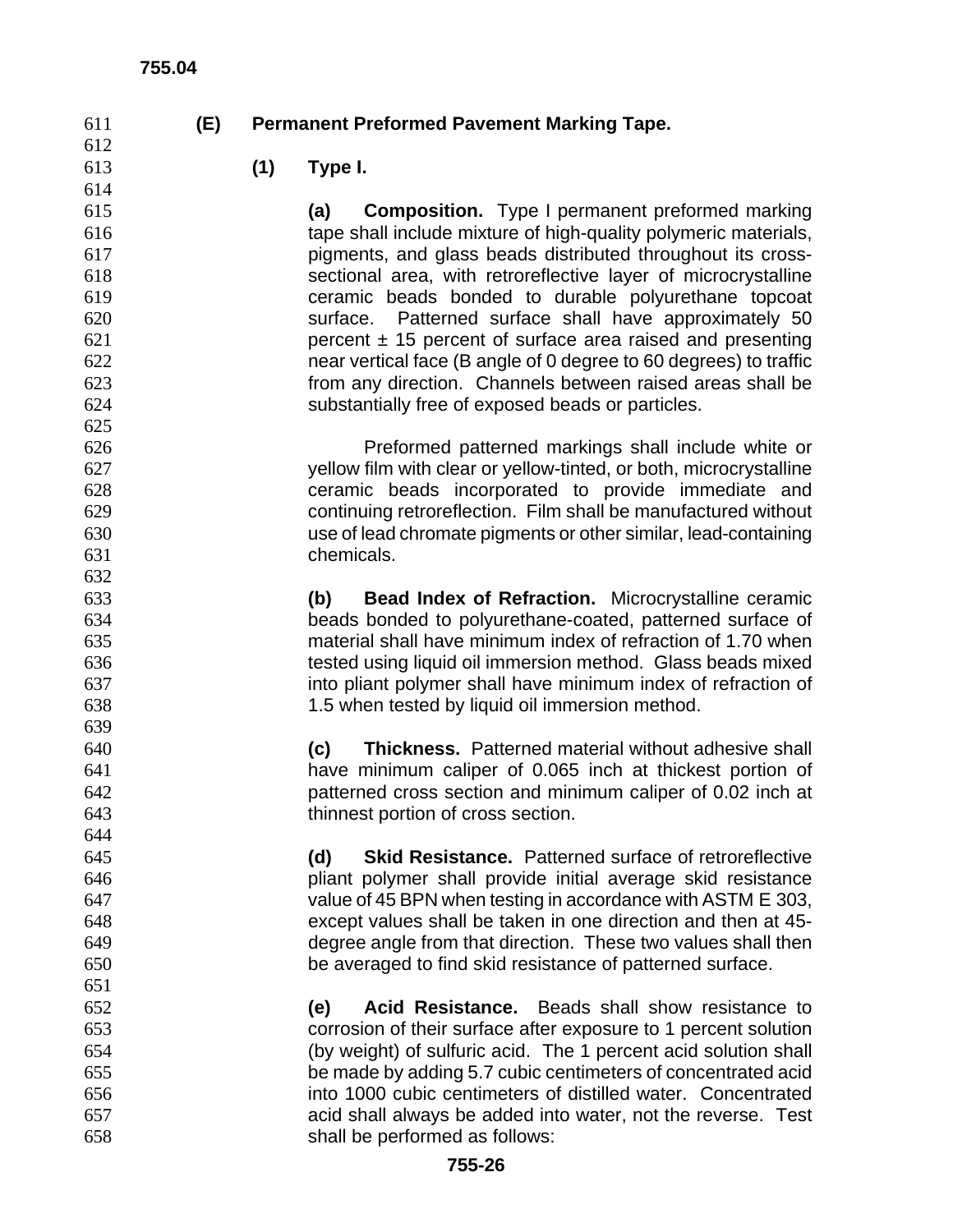# **(E) Permanent Preformed Pavement Marking Tape.**

**(1) Type I.** 

**(a) Composition.** Type I permanent preformed marking tape shall include mixture of high-quality polymeric materials, pigments, and glass beads distributed throughout its cross-sectional area, with retroreflective layer of microcrystalline ceramic beads bonded to durable polyurethane topcoat surface. Patterned surface shall have approximately 50 percent  $\pm$  15 percent of surface area raised and presenting near vertical face (B angle of 0 degree to 60 degrees) to traffic from any direction. Channels between raised areas shall be substantially free of exposed beads or particles.

Preformed patterned markings shall include white or yellow film with clear or yellow-tinted, or both, microcrystalline ceramic beads incorporated to provide immediate and continuing retroreflection. Film shall be manufactured without use of lead chromate pigments or other similar, lead-containing chemicals.

**(b) Bead Index of Refraction.** Microcrystalline ceramic beads bonded to polyurethane-coated, patterned surface of material shall have minimum index of refraction of 1.70 when tested using liquid oil immersion method. Glass beads mixed into pliant polymer shall have minimum index of refraction of 1.5 when tested by liquid oil immersion method.

**(c) Thickness.** Patterned material without adhesive shall have minimum caliper of 0.065 inch at thickest portion of patterned cross section and minimum caliper of 0.02 inch at thinnest portion of cross section.

**(d) Skid Resistance.** Patterned surface of retroreflective pliant polymer shall provide initial average skid resistance value of 45 BPN when testing in accordance with ASTM E 303, except values shall be taken in one direction and then at 45- degree angle from that direction. These two values shall then be averaged to find skid resistance of patterned surface.

**(e) Acid Resistance.** Beads shall show resistance to corrosion of their surface after exposure to 1 percent solution (by weight) of sulfuric acid. The 1 percent acid solution shall be made by adding 5.7 cubic centimeters of concentrated acid into 1000 cubic centimeters of distilled water. Concentrated acid shall always be added into water, not the reverse. Test shall be performed as follows: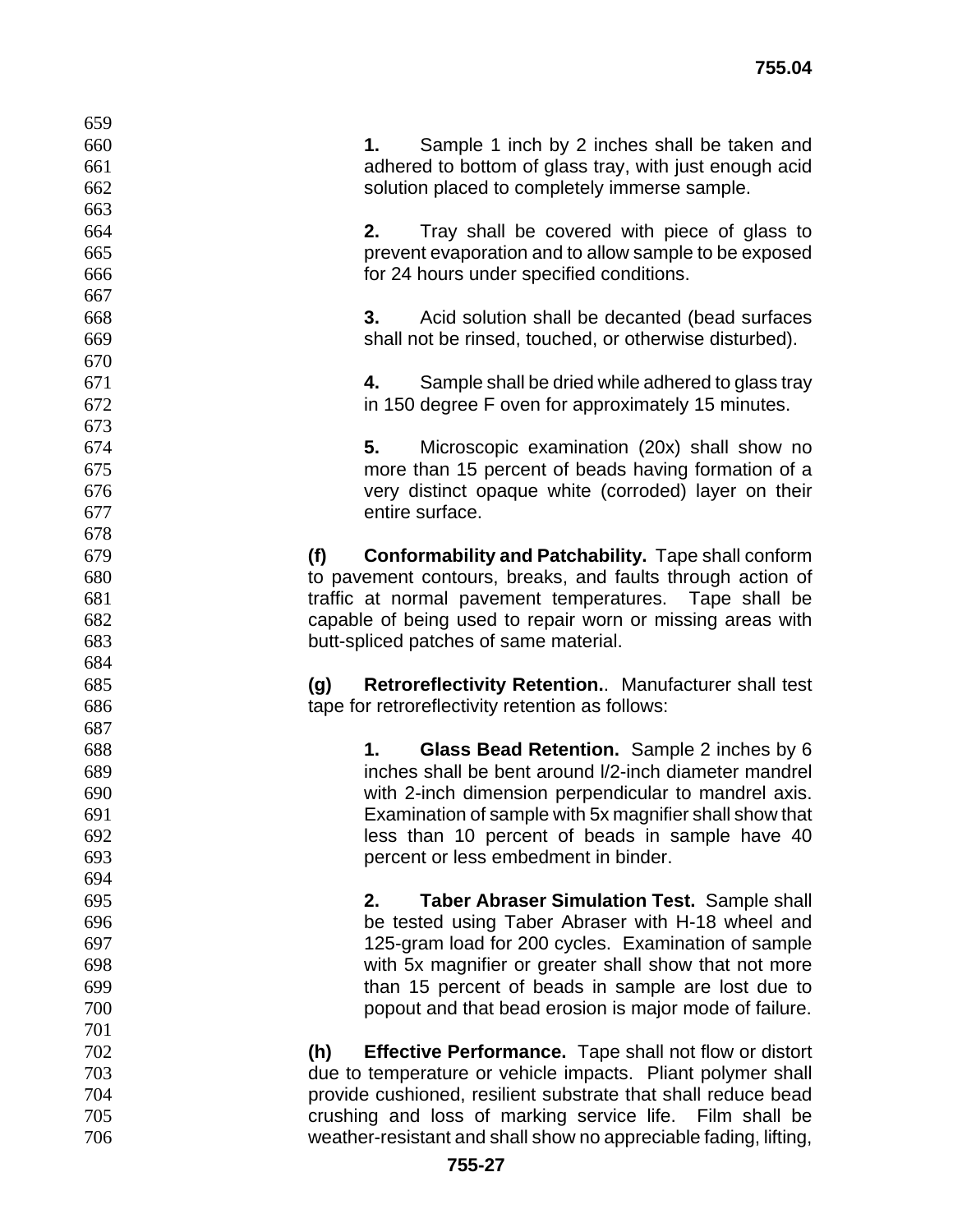| 659 |                                                                     |
|-----|---------------------------------------------------------------------|
| 660 | Sample 1 inch by 2 inches shall be taken and<br>1.                  |
| 661 | adhered to bottom of glass tray, with just enough acid              |
| 662 | solution placed to completely immerse sample.                       |
| 663 |                                                                     |
| 664 | 2.<br>Tray shall be covered with piece of glass to                  |
| 665 | prevent evaporation and to allow sample to be exposed               |
| 666 | for 24 hours under specified conditions.                            |
| 667 |                                                                     |
| 668 | 3.<br>Acid solution shall be decanted (bead surfaces                |
| 669 | shall not be rinsed, touched, or otherwise disturbed).              |
| 670 |                                                                     |
| 671 | Sample shall be dried while adhered to glass tray<br>4.             |
| 672 | in 150 degree F oven for approximately 15 minutes.                  |
| 673 |                                                                     |
| 674 | Microscopic examination (20x) shall show no<br>5.                   |
| 675 | more than 15 percent of beads having formation of a                 |
| 676 | very distinct opaque white (corroded) layer on their                |
| 677 | entire surface.                                                     |
| 678 |                                                                     |
| 679 | (f)<br><b>Conformability and Patchability.</b> Tape shall conform   |
| 680 | to pavement contours, breaks, and faults through action of          |
| 681 | traffic at normal pavement temperatures. Tape shall be              |
| 682 | capable of being used to repair worn or missing areas with          |
| 683 | butt-spliced patches of same material.                              |
| 684 |                                                                     |
| 685 | <b>Retroreflectivity Retention.</b> Manufacturer shall test<br>(g)  |
| 686 | tape for retroreflectivity retention as follows:                    |
| 687 |                                                                     |
| 688 | Glass Bead Retention. Sample 2 inches by 6<br>1.                    |
| 689 | inches shall be bent around I/2-inch diameter mandrel               |
| 690 | with 2-inch dimension perpendicular to mandrel axis.                |
| 691 | Examination of sample with 5x magnifier shall show that             |
| 692 | less than 10 percent of beads in sample have 40                     |
| 693 | percent or less embedment in binder.                                |
| 694 |                                                                     |
| 695 | <b>Taber Abraser Simulation Test. Sample shall</b><br>2.            |
| 696 | be tested using Taber Abraser with H-18 wheel and                   |
| 697 | 125-gram load for 200 cycles. Examination of sample                 |
| 698 | with 5x magnifier or greater shall show that not more               |
| 699 | than 15 percent of beads in sample are lost due to                  |
| 700 | popout and that bead erosion is major mode of failure.              |
| 701 |                                                                     |
| 702 | <b>Effective Performance.</b> Tape shall not flow or distort<br>(h) |
| 703 | due to temperature or vehicle impacts. Pliant polymer shall         |
| 704 | provide cushioned, resilient substrate that shall reduce bead       |
| 705 | crushing and loss of marking service life. Film shall be            |
| 706 | weather-resistant and shall show no appreciable fading, lifting,    |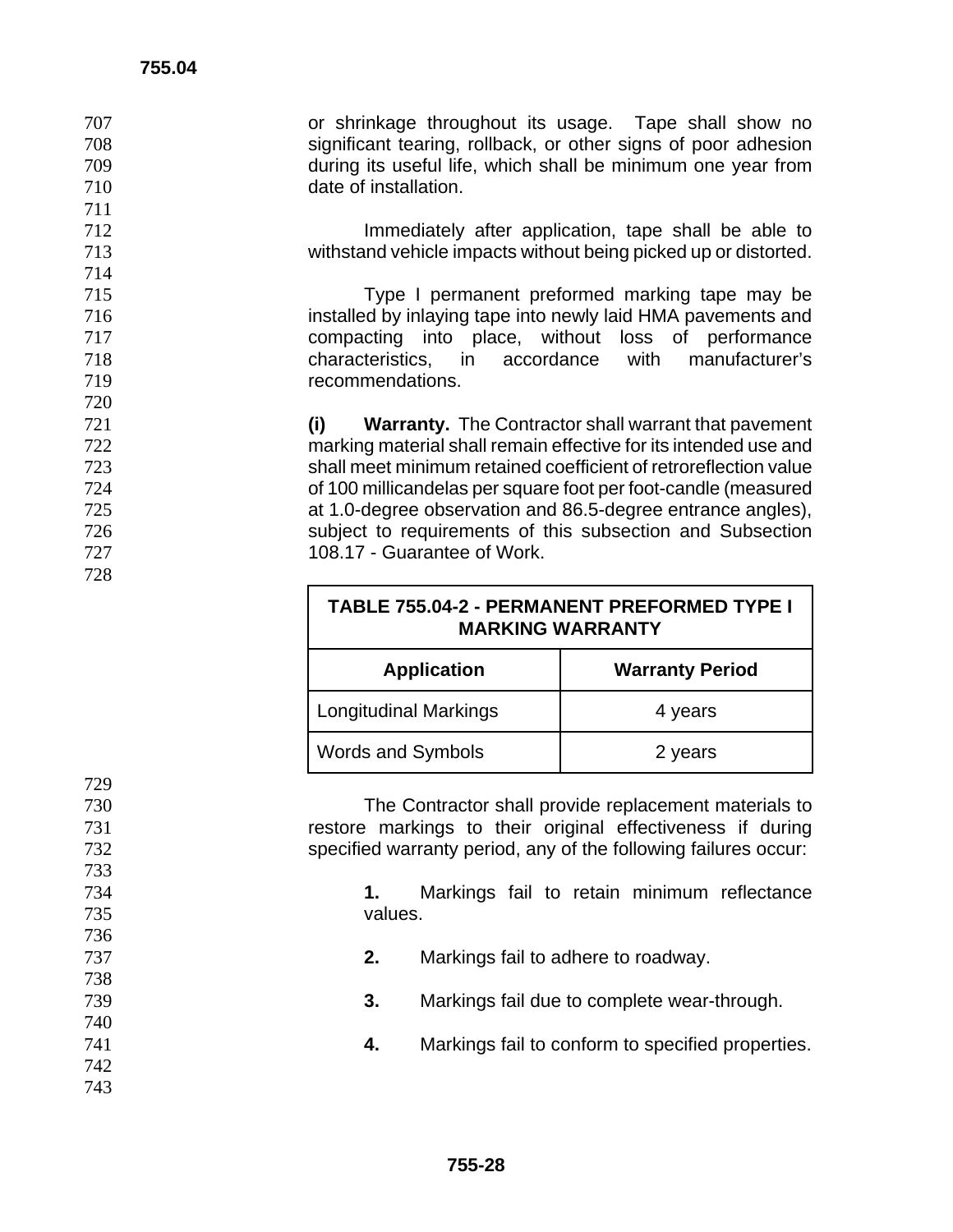or shrinkage throughout its usage. Tape shall show no significant tearing, rollback, or other signs of poor adhesion during its useful life, which shall be minimum one year from date of installation.

**Immediately after application, tape shall be able to** withstand vehicle impacts without being picked up or distorted.

Type I permanent preformed marking tape may be installed by inlaying tape into newly laid HMA pavements and compacting into place, without loss of performance characteristics, in accordance with manufacturer's recommendations.

**(i) Warranty.** The Contractor shall warrant that pavement marking material shall remain effective for its intended use and shall meet minimum retained coefficient of retroreflection value of 100 millicandelas per square foot per foot-candle (measured at 1.0-degree observation and 86.5-degree entrance angles), subject to requirements of this subsection and Subsection 108.17 - Guarantee of Work.

| TABLE 755.04-2 - PERMANENT PREFORMED TYPE I |
|---------------------------------------------|
| <b>MARKING WARRANTY</b>                     |

| <b>Application</b>           | <b>Warranty Period</b> |  |
|------------------------------|------------------------|--|
| <b>Longitudinal Markings</b> | 4 years                |  |
| <b>Words and Symbols</b>     | 2 years                |  |

The Contractor shall provide replacement materials to restore markings to their original effectiveness if during specified warranty period, any of the following failures occur:

**1.** Markings fail to retain minimum reflectance values.

**2.** Markings fail to adhere to roadway.

**3.** Markings fail due to complete wear-through.

**4.** Markings fail to conform to specified properties.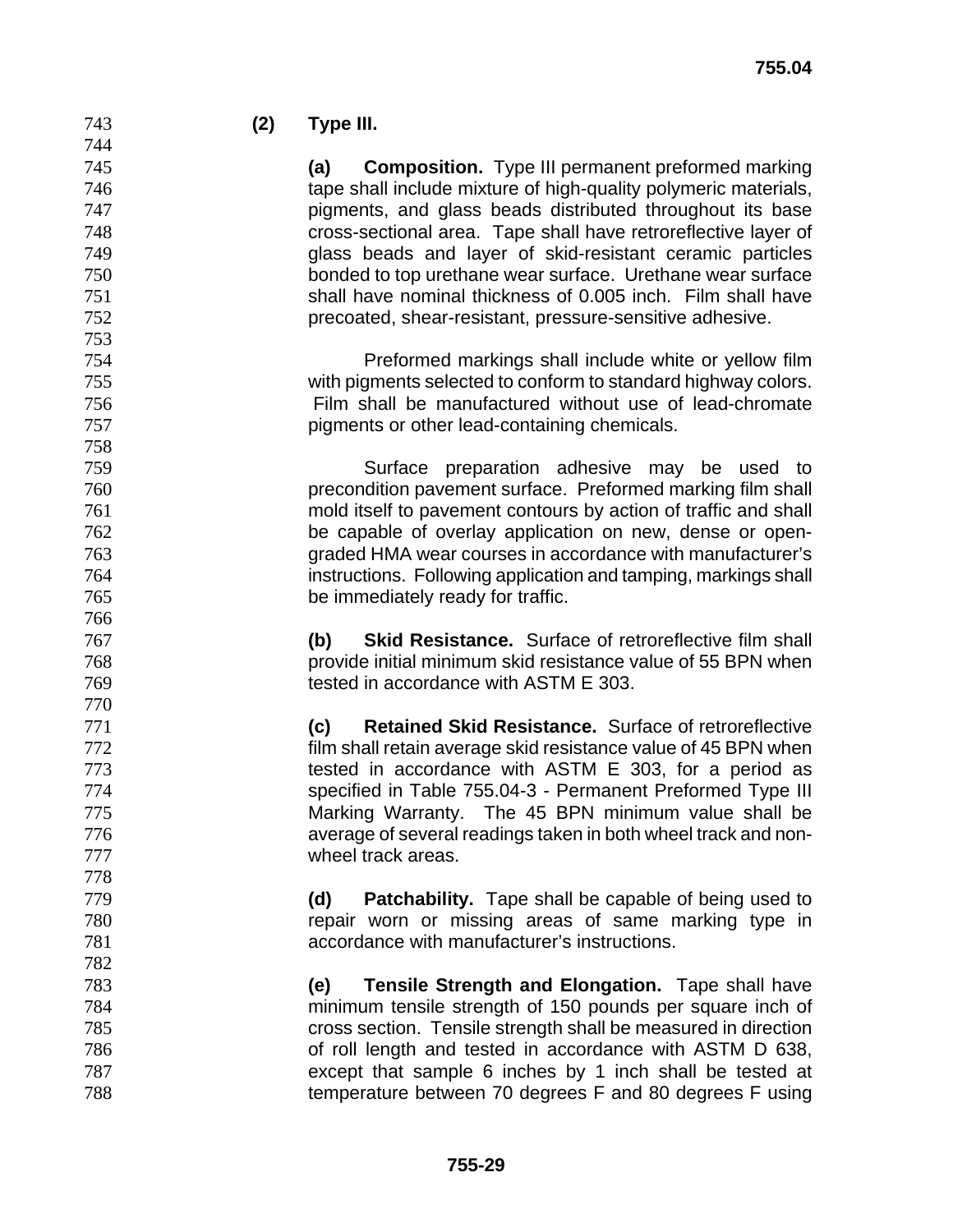# **(2) Type III.**

**(a) Composition.** Type III permanent preformed marking tape shall include mixture of high-quality polymeric materials, pigments, and glass beads distributed throughout its base cross-sectional area. Tape shall have retroreflective layer of glass beads and layer of skid-resistant ceramic particles bonded to top urethane wear surface. Urethane wear surface shall have nominal thickness of 0.005 inch. Film shall have precoated, shear-resistant, pressure-sensitive adhesive.

Preformed markings shall include white or yellow film with pigments selected to conform to standard highway colors. Film shall be manufactured without use of lead-chromate pigments or other lead-containing chemicals.

Surface preparation adhesive may be used to precondition pavement surface. Preformed marking film shall mold itself to pavement contours by action of traffic and shall be capable of overlay application on new, dense or open-graded HMA wear courses in accordance with manufacturer's instructions. Following application and tamping, markings shall be immediately ready for traffic.

**(b) Skid Resistance.** Surface of retroreflective film shall provide initial minimum skid resistance value of 55 BPN when tested in accordance with ASTM E 303.

**(c) Retained Skid Resistance.** Surface of retroreflective film shall retain average skid resistance value of 45 BPN when 773 tested in accordance with ASTM E 303, for a period as specified in Table 755.04-3 - Permanent Preformed Type III Marking Warranty. The 45 BPN minimum value shall be average of several readings taken in both wheel track and non-wheel track areas.

**(d) Patchability.** Tape shall be capable of being used to repair worn or missing areas of same marking type in accordance with manufacturer's instructions.

**(e) Tensile Strength and Elongation.** Tape shall have minimum tensile strength of 150 pounds per square inch of cross section. Tensile strength shall be measured in direction of roll length and tested in accordance with ASTM D 638, except that sample 6 inches by 1 inch shall be tested at temperature between 70 degrees F and 80 degrees F using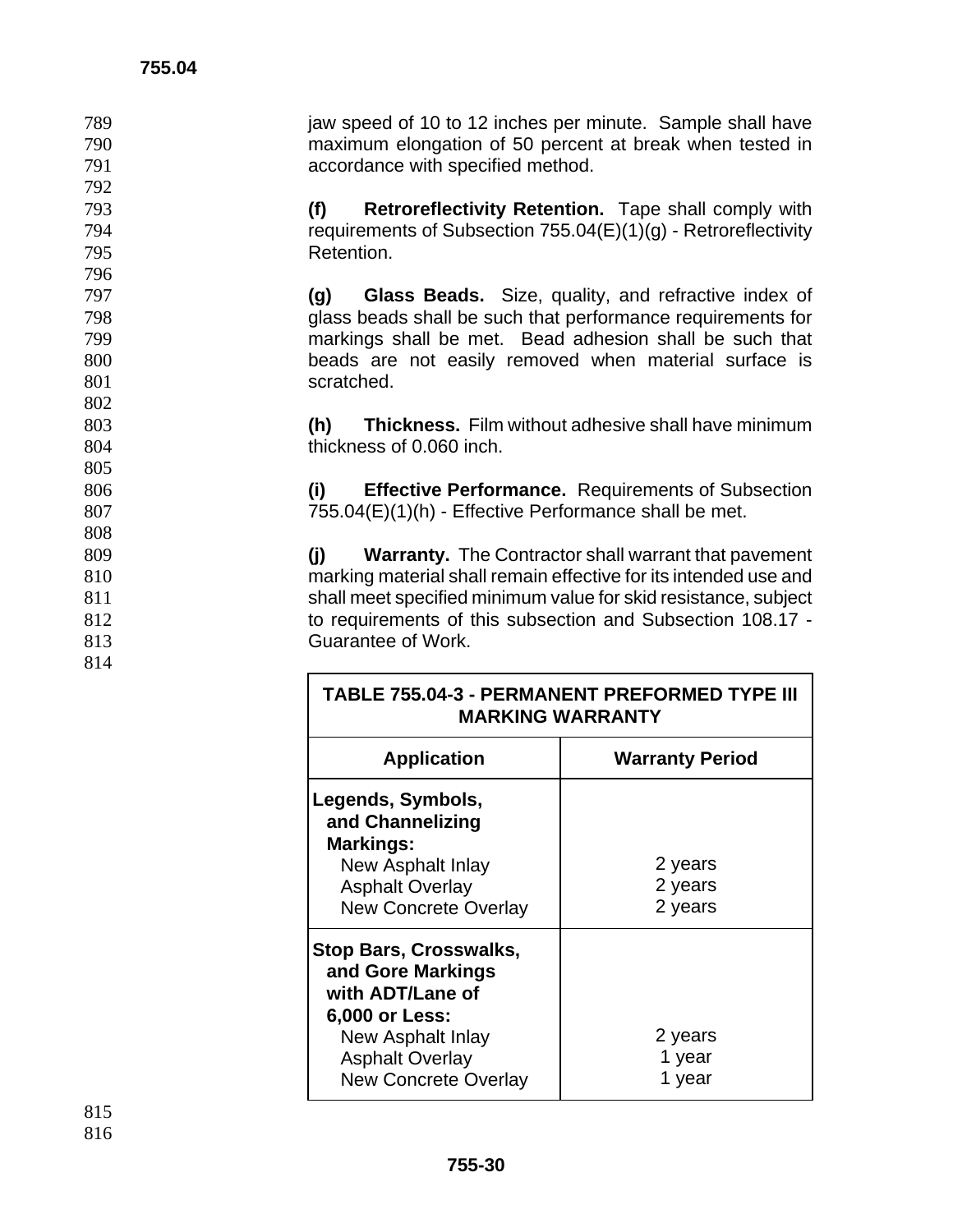796

802

805

808

814

789 jaw speed of 10 to 12 inches per minute. Sample shall have 790 maximum elongation of 50 percent at break when tested in 791 accordance with specified method.

793 **(f) Retroreflectivity Retention.** Tape shall comply with 794 requirements of Subsection 755.04(E)(1)(g) - Retroreflectivity 795 Retention.

**(g) Glass Beads.** Size, quality, and refractive index of glass beads shall be such that performance requirements for markings shall be met. Bead adhesion shall be such that beads are not easily removed when material surface is 801 scratched.

803 **(h) Thickness.** Film without adhesive shall have minimum 804 thickness of 0.060 inch.

806 **(i) Effective Performance.** Requirements of Subsection 807 755.04(E)(1)(h) - Effective Performance shall be met.

**(j) Warranty.** The Contractor shall warrant that pavement marking material shall remain effective for its intended use and 811 shall meet specified minimum value for skid resistance, subject to requirements of this subsection and Subsection 108.17 - Guarantee of Work.

| <b>TABLE 755.04-3 - PERMANENT PREFORMED TYPE III</b><br><b>MARKING WARRANTY</b>                                                                                        |                               |  |
|------------------------------------------------------------------------------------------------------------------------------------------------------------------------|-------------------------------|--|
| <b>Application</b>                                                                                                                                                     | <b>Warranty Period</b>        |  |
| Legends, Symbols,<br>and Channelizing<br><b>Markings:</b><br>New Asphalt Inlay<br><b>Asphalt Overlay</b><br><b>New Concrete Overlay</b>                                | 2 years<br>2 years<br>2 years |  |
| <b>Stop Bars, Crosswalks,</b><br>and Gore Markings<br>with ADT/Lane of<br>6,000 or Less:<br>New Asphalt Inlay<br><b>Asphalt Overlay</b><br><b>New Concrete Overlay</b> | 2 years<br>1 year<br>1 year   |  |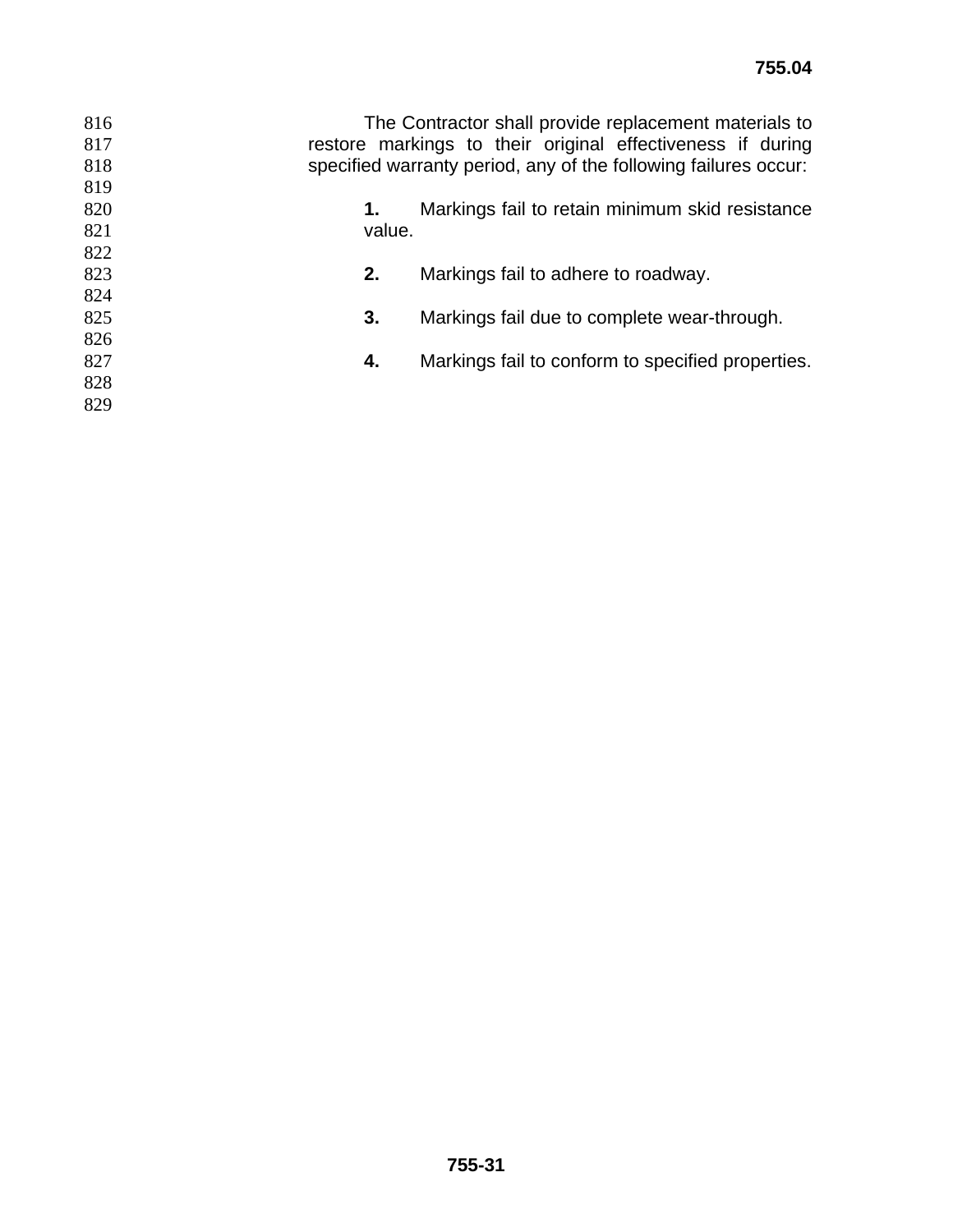| 816 | The Contractor shall provide replacement materials to      |                                                                 |  |
|-----|------------------------------------------------------------|-----------------------------------------------------------------|--|
| 817 | restore markings to their original effectiveness if during |                                                                 |  |
| 818 |                                                            | specified warranty period, any of the following failures occur: |  |
| 819 |                                                            |                                                                 |  |
| 820 | 1.                                                         | Markings fail to retain minimum skid resistance                 |  |
| 821 | value.                                                     |                                                                 |  |
| 822 |                                                            |                                                                 |  |
| 823 | 2.                                                         | Markings fail to adhere to roadway.                             |  |
| 824 |                                                            |                                                                 |  |
| 825 | 3.                                                         | Markings fail due to complete wear-through.                     |  |
| 826 |                                                            |                                                                 |  |
| 827 | 4.                                                         | Markings fail to conform to specified properties.               |  |
| 828 |                                                            |                                                                 |  |
| 829 |                                                            |                                                                 |  |
|     |                                                            |                                                                 |  |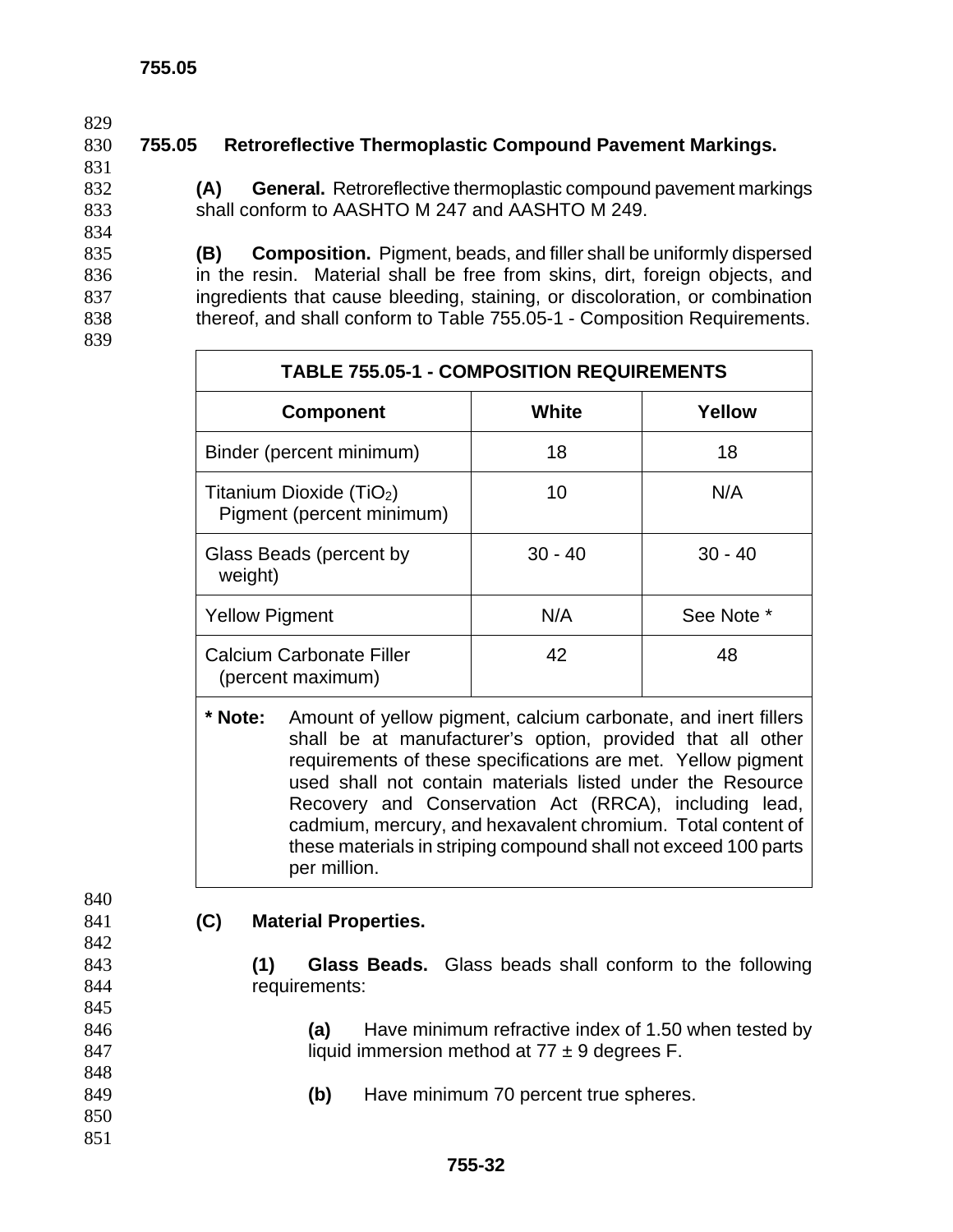831

834

839

840

842

845

848

850 851

# 830 **755.05 Retroreflective Thermoplastic Compound Pavement Markings.**

832 **(A) General.** Retroreflective thermoplastic compound pavement markings 833 shall conform to AASHTO M 247 and AASHTO M 249.

**(B) Composition.** Pigment, beads, and filler shall be uniformly dispersed in the resin. Material shall be free from skins, dirt, foreign objects, and ingredients that cause bleeding, staining, or discoloration, or combination thereof, and shall conform to Table 755.05-1 - Composition Requirements.

| <b>TABLE 755.05-1 - COMPOSITION REQUIREMENTS</b>                  |           |            |  |
|-------------------------------------------------------------------|-----------|------------|--|
| <b>Component</b>                                                  | White     | Yellow     |  |
| Binder (percent minimum)                                          | 18        | 18         |  |
| Titanium Dioxide (TiO <sub>2</sub> )<br>Pigment (percent minimum) | 10        | N/A        |  |
| Glass Beads (percent by<br>weight)                                | $30 - 40$ | $30 - 40$  |  |
| <b>Yellow Pigment</b>                                             | N/A       | See Note * |  |
| <b>Calcium Carbonate Filler</b><br>(percent maximum)              | 42        | 48         |  |

**\* Note:** Amount of yellow pigment, calcium carbonate, and inert fillers shall be at manufacturer's option, provided that all other requirements of these specifications are met. Yellow pigment used shall not contain materials listed under the Resource Recovery and Conservation Act (RRCA), including lead, cadmium, mercury, and hexavalent chromium. Total content of these materials in striping compound shall not exceed 100 parts per million.

### 841 **(C) Material Properties.**

843 **(1) Glass Beads.** Glass beads shall conform to the following 844 requirements:

846 **(a)** Have minimum refractive index of 1.50 when tested by 847 liquid immersion method at  $77 \pm 9$  degrees F.

849 **(b)** Have minimum 70 percent true spheres.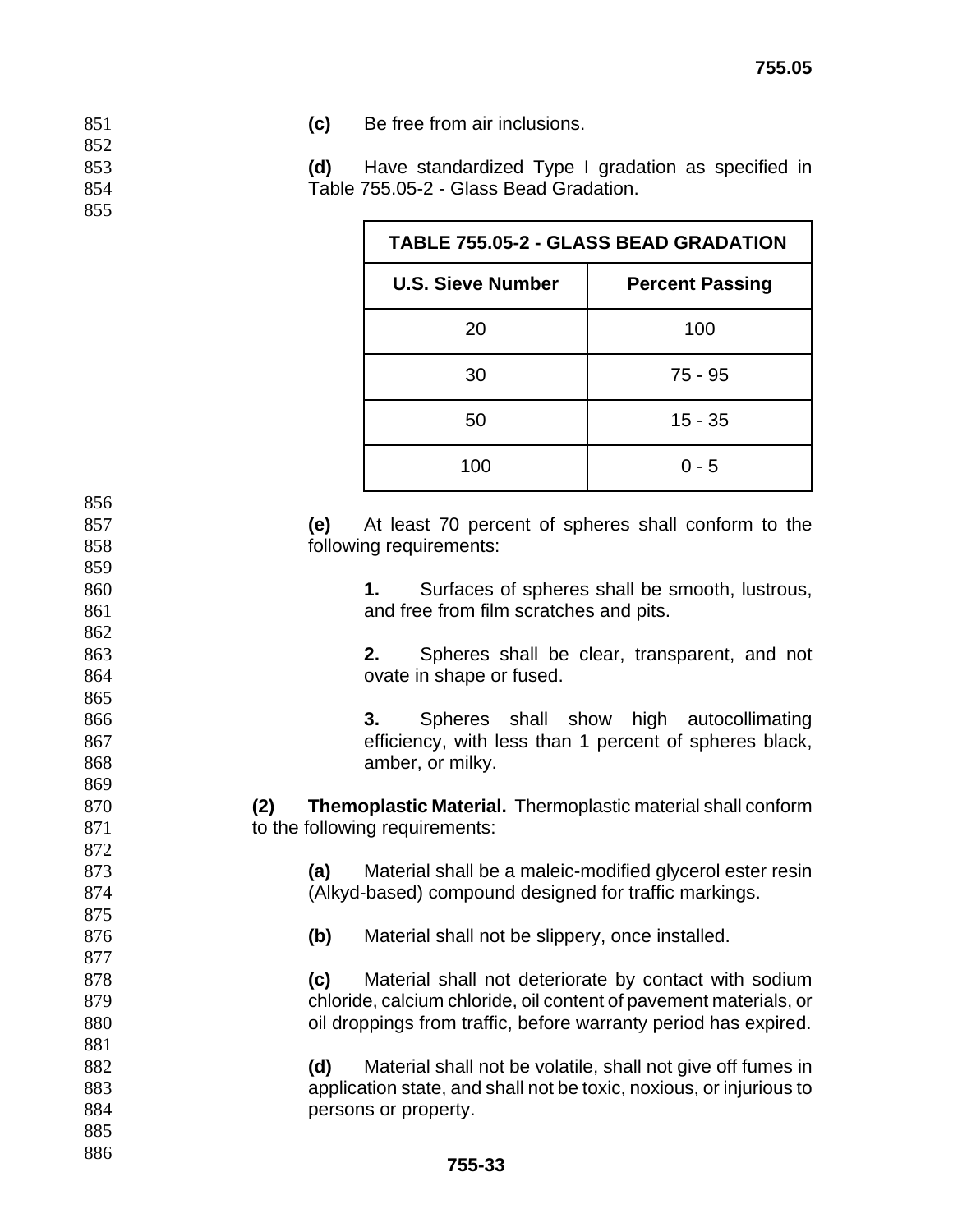**(c)** Be free from air inclusions.

**(d)** Have standardized Type I gradation as specified in Table 755.05-2 - Glass Bead Gradation.

| <b>TABLE 755.05-2 - GLASS BEAD GRADATION</b> |                        |  |
|----------------------------------------------|------------------------|--|
| <b>U.S. Sieve Number</b>                     | <b>Percent Passing</b> |  |
| 20                                           | 100                    |  |
| 30                                           | 75 - 95                |  |
| 50                                           | $15 - 35$              |  |
| 100                                          | $0 - 5$                |  |

**(e)** At least 70 percent of spheres shall conform to the following requirements: **1.** Surfaces of spheres shall be smooth, lustrous, and free from film scratches and pits. **2.** Spheres shall be clear, transparent, and not 864 ovate in shape or fused. **3.** Spheres shall show high autocollimating efficiency, with less than 1 percent of spheres black, **amber**, or milky. **(2) Themoplastic Material.** Thermoplastic material shall conform 871 to the following requirements: **(a)** Material shall be a maleic-modified glycerol ester resin (Alkyd-based) compound designed for traffic markings. **(b)** Material shall not be slippery, once installed. **(c)** Material shall not deteriorate by contact with sodium chloride, calcium chloride, oil content of pavement materials, or 880 oil droppings from traffic, before warranty period has expired. **(d)** Material shall not be volatile, shall not give off fumes in application state, and shall not be toxic, noxious, or injurious to **persons or property.**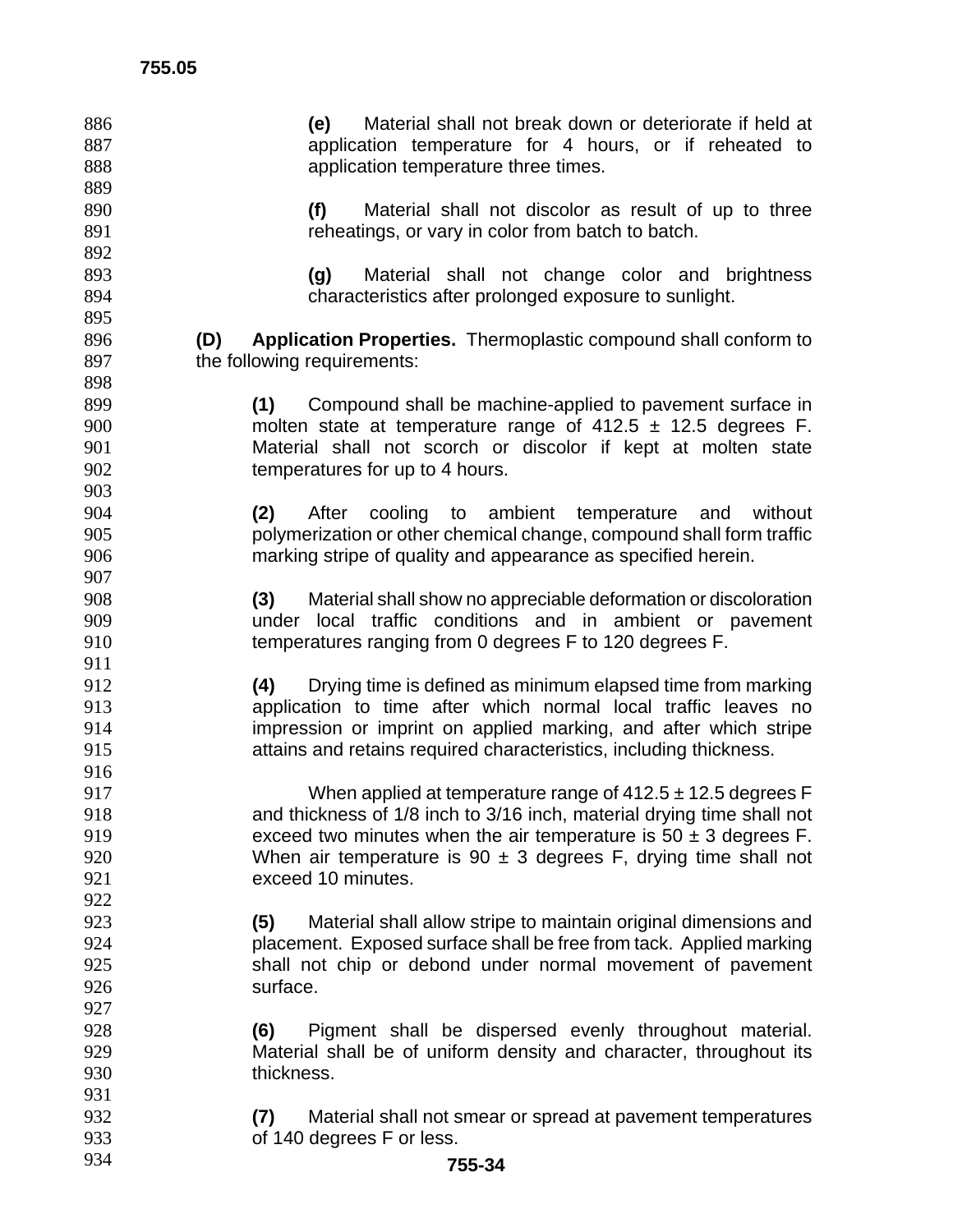| 886        | Material shall not break down or deteriorate if held at<br>(e)                                                                      |
|------------|-------------------------------------------------------------------------------------------------------------------------------------|
| 887        | application temperature for 4 hours, or if reheated to                                                                              |
| 888        | application temperature three times.                                                                                                |
| 889        |                                                                                                                                     |
| 890        | (f)<br>Material shall not discolor as result of up to three                                                                         |
| 891        | reheatings, or vary in color from batch to batch.                                                                                   |
| 892        |                                                                                                                                     |
| 893        | Material shall not change color and brightness<br>(g)                                                                               |
| 894        | characteristics after prolonged exposure to sunlight.                                                                               |
| 895        |                                                                                                                                     |
| 896        | <b>Application Properties.</b> Thermoplastic compound shall conform to<br>(D)                                                       |
| 897        | the following requirements:                                                                                                         |
| 898        |                                                                                                                                     |
| 899        | (1)<br>Compound shall be machine-applied to pavement surface in                                                                     |
| 900        | molten state at temperature range of $412.5 \pm 12.5$ degrees F.                                                                    |
| 901        | Material shall not scorch or discolor if kept at molten state                                                                       |
| 902        | temperatures for up to 4 hours.                                                                                                     |
| 903        |                                                                                                                                     |
| 904        | After cooling to ambient temperature and without<br>(2)                                                                             |
| 905        | polymerization or other chemical change, compound shall form traffic                                                                |
| 906        | marking stripe of quality and appearance as specified herein.                                                                       |
| 907        |                                                                                                                                     |
| 908        | Material shall show no appreciable deformation or discoloration<br>(3)                                                              |
| 909        | under local traffic conditions and in ambient or pavement                                                                           |
| 910        | temperatures ranging from 0 degrees F to 120 degrees F.                                                                             |
| 911        |                                                                                                                                     |
| 912        | Drying time is defined as minimum elapsed time from marking<br>(4)                                                                  |
| 913        | application to time after which normal local traffic leaves no                                                                      |
| 914        | impression or imprint on applied marking, and after which stripe                                                                    |
| 915        | attains and retains required characteristics, including thickness.                                                                  |
| 916        |                                                                                                                                     |
| 917        | When applied at temperature range of $412.5 \pm 12.5$ degrees F                                                                     |
| 918        | and thickness of 1/8 inch to 3/16 inch, material drying time shall not                                                              |
| 919        | exceed two minutes when the air temperature is $50 \pm 3$ degrees F.                                                                |
| 920        | When air temperature is $90 \pm 3$ degrees F, drying time shall not                                                                 |
| 921        | exceed 10 minutes.                                                                                                                  |
| 922        |                                                                                                                                     |
| 923        | Material shall allow stripe to maintain original dimensions and<br>(5)                                                              |
| 924        | placement. Exposed surface shall be free from tack. Applied marking                                                                 |
| 925        | shall not chip or debond under normal movement of pavement<br>surface.                                                              |
| 926<br>927 |                                                                                                                                     |
| 928        |                                                                                                                                     |
| 929        | Pigment shall be dispersed evenly throughout material.<br>(6)<br>Material shall be of uniform density and character, throughout its |
| 930        | thickness.                                                                                                                          |
| 931        |                                                                                                                                     |
| 932        | Material shall not smear or spread at pavement temperatures<br>(7)                                                                  |
| 933        | of 140 degrees F or less.                                                                                                           |
| 934        | 755-34                                                                                                                              |
|            |                                                                                                                                     |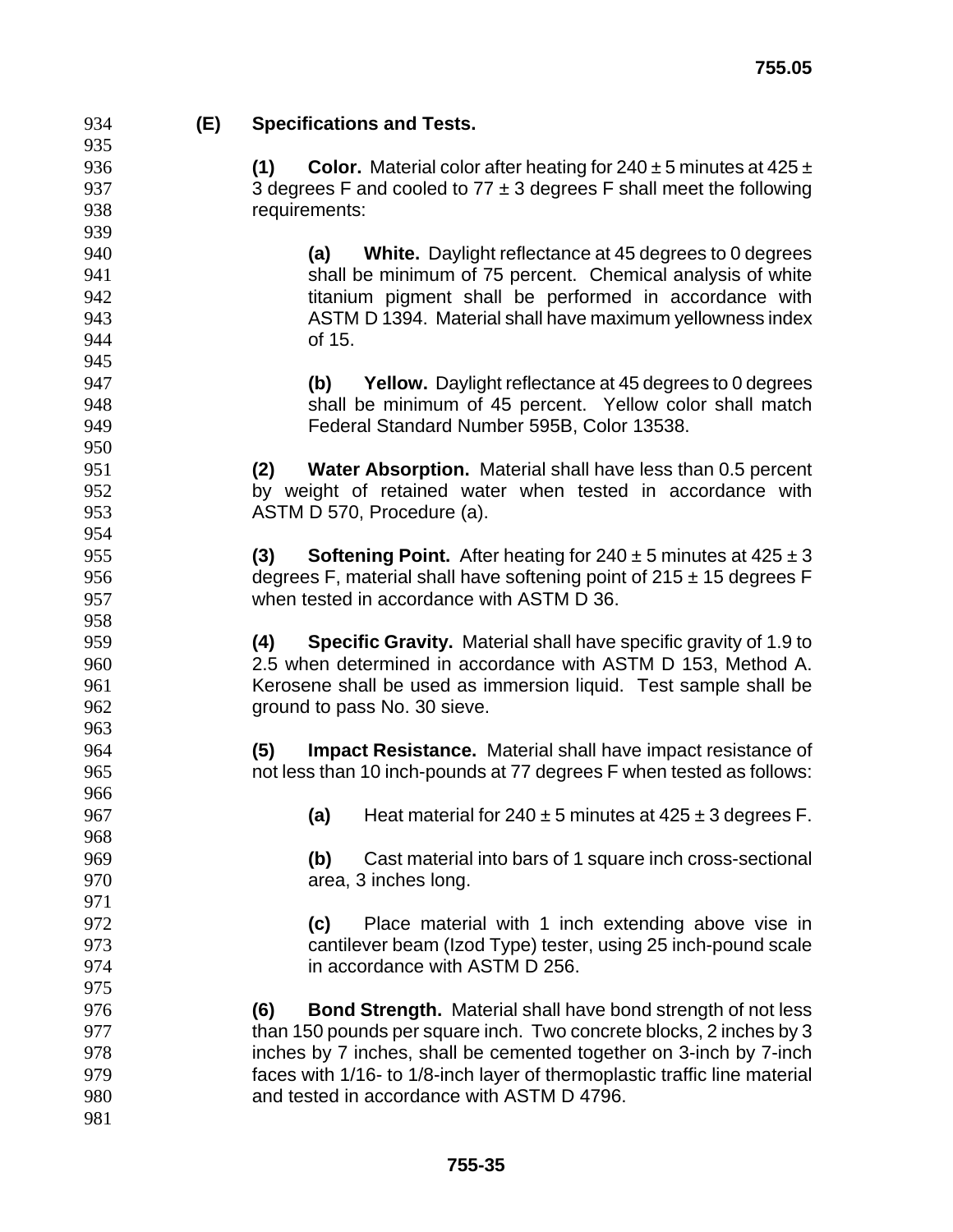**(E) Specifications and Tests. (1) Color.** Material color after heating for 240 ± 5 minutes at 425 ± 937 3 degrees F and cooled to  $77 \pm 3$  degrees F shall meet the following requirements: **(a) White.** Daylight reflectance at 45 degrees to 0 degrees shall be minimum of 75 percent. Chemical analysis of white **titanium pigment shall be performed in accordance with** ASTM D 1394. Material shall have maximum yellowness index of 15. **(b) Yellow.** Daylight reflectance at 45 degrees to 0 degrees shall be minimum of 45 percent. Yellow color shall match Federal Standard Number 595B, Color 13538. **(2) Water Absorption.** Material shall have less than 0.5 percent by weight of retained water when tested in accordance with ASTM D 570, Procedure (a). **(3) Softening Point.** After heating for 240 ± 5 minutes at 425 ± 3 956 degrees F, material shall have softening point of  $215 \pm 15$  degrees F when tested in accordance with ASTM D 36. **(4) Specific Gravity.** Material shall have specific gravity of 1.9 to 2.5 when determined in accordance with ASTM D 153, Method A. Kerosene shall be used as immersion liquid. Test sample shall be ground to pass No. 30 sieve. **(5) Impact Resistance.** Material shall have impact resistance of not less than 10 inch-pounds at 77 degrees F when tested as follows: **(a)** Heat material for 240 ± 5 minutes at 425 ± 3 degrees F. **(b)** Cast material into bars of 1 square inch cross-sectional area, 3 inches long. **(c)** Place material with 1 inch extending above vise in cantilever beam (Izod Type) tester, using 25 inch-pound scale in accordance with ASTM D 256. **(6) Bond Strength.** Material shall have bond strength of not less than 150 pounds per square inch. Two concrete blocks, 2 inches by 3 inches by 7 inches, shall be cemented together on 3-inch by 7-inch faces with 1/16- to 1/8-inch layer of thermoplastic traffic line material and tested in accordance with ASTM D 4796.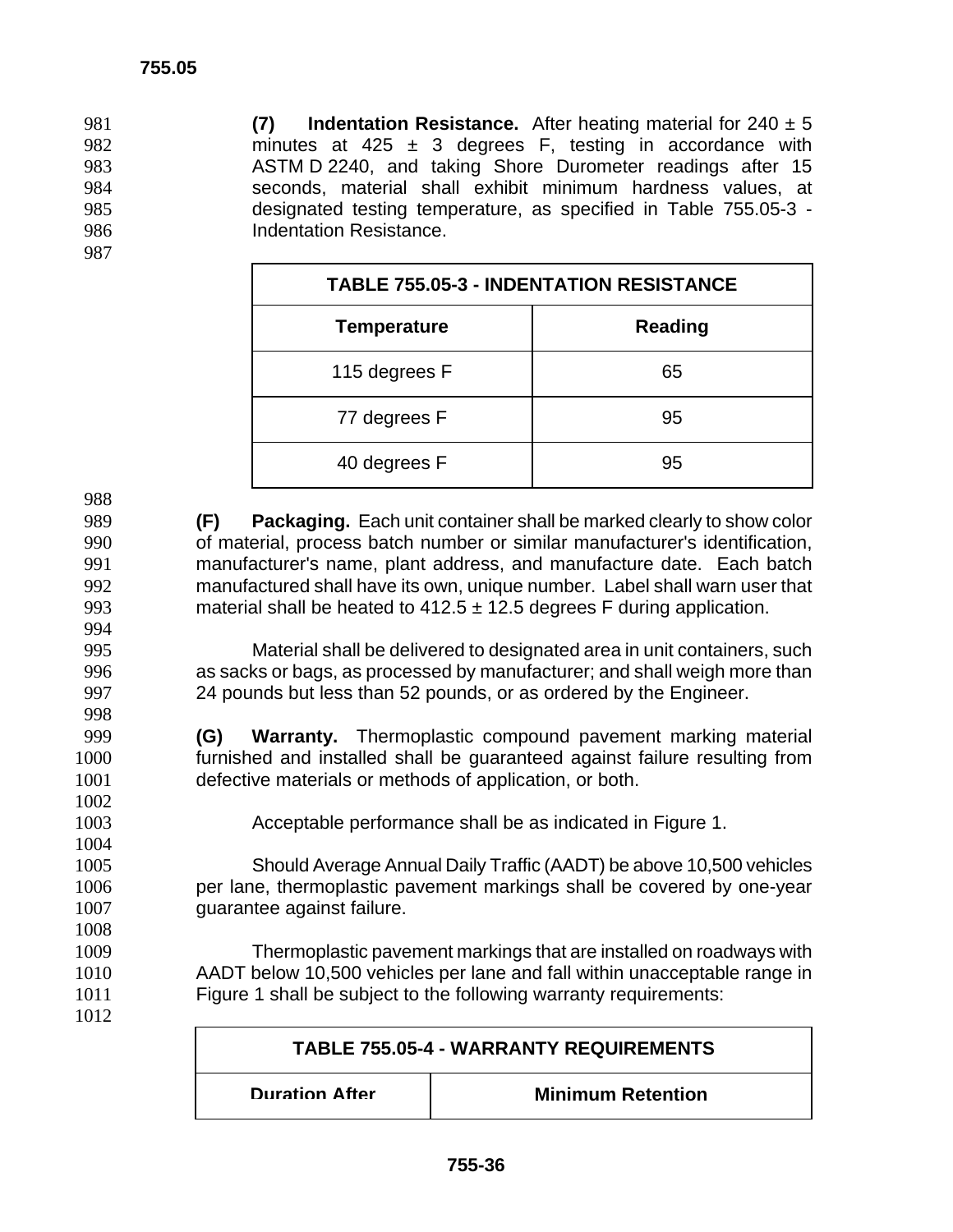**(7) Indentation Resistance.** After heating material for 240 ± 5 982 minutes at 425  $\pm$  3 degrees F, testing in accordance with ASTM D 2240, and taking Shore Durometer readings after 15 seconds, material shall exhibit minimum hardness values, at designated testing temperature, as specified in Table 755.05-3 - **Indentation Resistance.** 

| <b>TABLE 755.05-3 - INDENTATION RESISTANCE</b> |                |  |
|------------------------------------------------|----------------|--|
| <b>Temperature</b>                             | <b>Reading</b> |  |
| 115 degrees F                                  | 65             |  |
| 77 degrees F                                   | 95             |  |
| 40 degrees F                                   | 95             |  |

**(F) Packaging.** Each unit container shall be marked clearly to show color of material, process batch number or similar manufacturer's identification, manufacturer's name, plant address, and manufacture date. Each batch manufactured shall have its own, unique number. Label shall warn user that 993 material shall be heated to  $412.5 \pm 12.5$  degrees F during application. 

Material shall be delivered to designated area in unit containers, such as sacks or bags, as processed by manufacturer; and shall weigh more than 24 pounds but less than 52 pounds, or as ordered by the Engineer.

- **(G) Warranty.** Thermoplastic compound pavement marking material furnished and installed shall be guaranteed against failure resulting from defective materials or methods of application, or both.
- Acceptable performance shall be as indicated in Figure 1.

Should Average Annual Daily Traffic (AADT) be above 10,500 vehicles per lane, thermoplastic pavement markings shall be covered by one-year guarantee against failure.

Thermoplastic pavement markings that are installed on roadways with AADT below 10,500 vehicles per lane and fall within unacceptable range in Figure 1 shall be subject to the following warranty requirements:

| <b>TABLE 755.05-4 - WARRANTY REQUIREMENTS</b> |                          |  |
|-----------------------------------------------|--------------------------|--|
| <b>Duration After</b>                         | <b>Minimum Retention</b> |  |